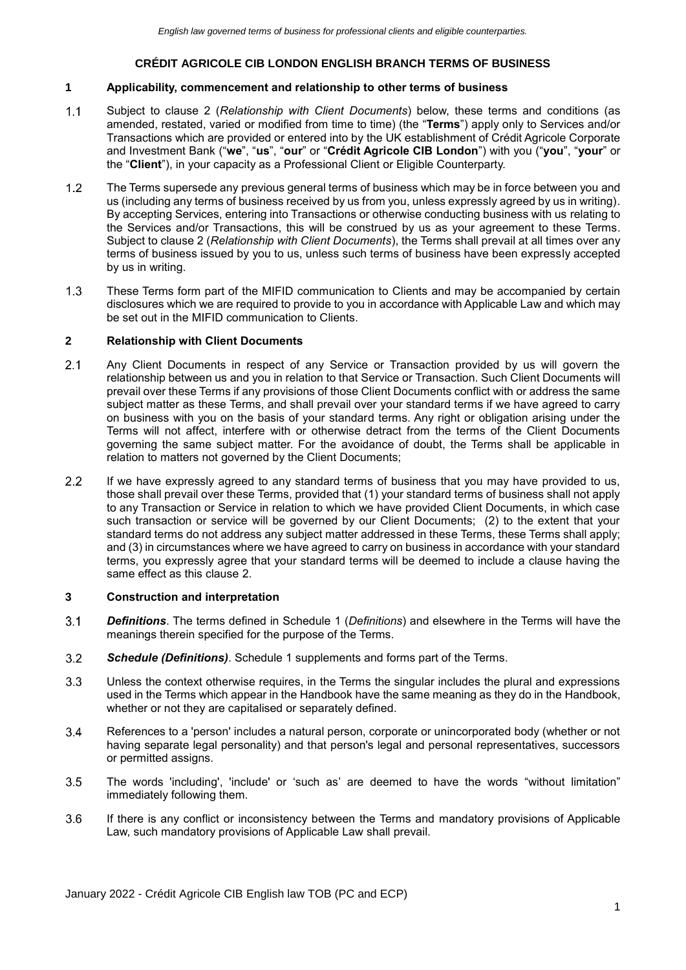# **CRÉDIT AGRICOLE CIB LONDON ENGLISH BRANCH TERMS OF BUSINESS**

## **1 Applicability, commencement and relationship to other terms of business**

- Subject to clause 2 (*Relationship with Client Documents*) below, these terms and conditions (as  $1.1$ amended, restated, varied or modified from time to time) (the "**Terms**") apply only to Services and/or Transactions which are provided or entered into by the UK establishment of Crédit Agricole Corporate and Investment Bank ("**we**", "**us**", "**our**" or "**Crédit Agricole CIB London**") with you ("**you**", "**your**" or the "**Client**"), in your capacity as a Professional Client or Eligible Counterparty.
- $1.2$ The Terms supersede any previous general terms of business which may be in force between you and us (including any terms of business received by us from you, unless expressly agreed by us in writing). By accepting Services, entering into Transactions or otherwise conducting business with us relating to the Services and/or Transactions, this will be construed by us as your agreement to these Terms. Subject to clause 2 (*Relationship with Client Documents*), the Terms shall prevail at all times over any terms of business issued by you to us, unless such terms of business have been expressly accepted by us in writing.
- $1.3$ These Terms form part of the MIFID communication to Clients and may be accompanied by certain disclosures which we are required to provide to you in accordance with Applicable Law and which may be set out in the MIFID communication to Clients.

## **2 Relationship with Client Documents**

- $2.1$ Any Client Documents in respect of any Service or Transaction provided by us will govern the relationship between us and you in relation to that Service or Transaction. Such Client Documents will prevail over these Terms if any provisions of those Client Documents conflict with or address the same subject matter as these Terms, and shall prevail over your standard terms if we have agreed to carry on business with you on the basis of your standard terms. Any right or obligation arising under the Terms will not affect, interfere with or otherwise detract from the terms of the Client Documents governing the same subject matter. For the avoidance of doubt, the Terms shall be applicable in relation to matters not governed by the Client Documents;
- $2.2$ If we have expressly agreed to any standard terms of business that you may have provided to us, those shall prevail over these Terms, provided that (1) your standard terms of business shall not apply to any Transaction or Service in relation to which we have provided Client Documents, in which case such transaction or service will be governed by our Client Documents; (2) to the extent that your standard terms do not address any subject matter addressed in these Terms, these Terms shall apply; and (3) in circumstances where we have agreed to carry on business in accordance with your standard terms, you expressly agree that your standard terms will be deemed to include a clause having the same effect as this clause 2.

# **3 Construction and interpretation**

- $3.1$ *Definitions*. The terms defined in Schedule 1 (*Definitions*) and elsewhere in the Terms will have the meanings therein specified for the purpose of the Terms.
- $3.2$ *Schedule (Definitions)*. Schedule 1 supplements and forms part of the Terms.
- $3.3$ Unless the context otherwise requires, in the Terms the singular includes the plural and expressions used in the Terms which appear in the Handbook have the same meaning as they do in the Handbook, whether or not they are capitalised or separately defined.
- $3.4$ References to a 'person' includes a natural person, corporate or unincorporated body (whether or not having separate legal personality) and that person's legal and personal representatives, successors or permitted assigns.
- $3.5$ The words 'including', 'include' or 'such as' are deemed to have the words "without limitation" immediately following them.
- $3.6$ If there is any conflict or inconsistency between the Terms and mandatory provisions of Applicable Law, such mandatory provisions of Applicable Law shall prevail.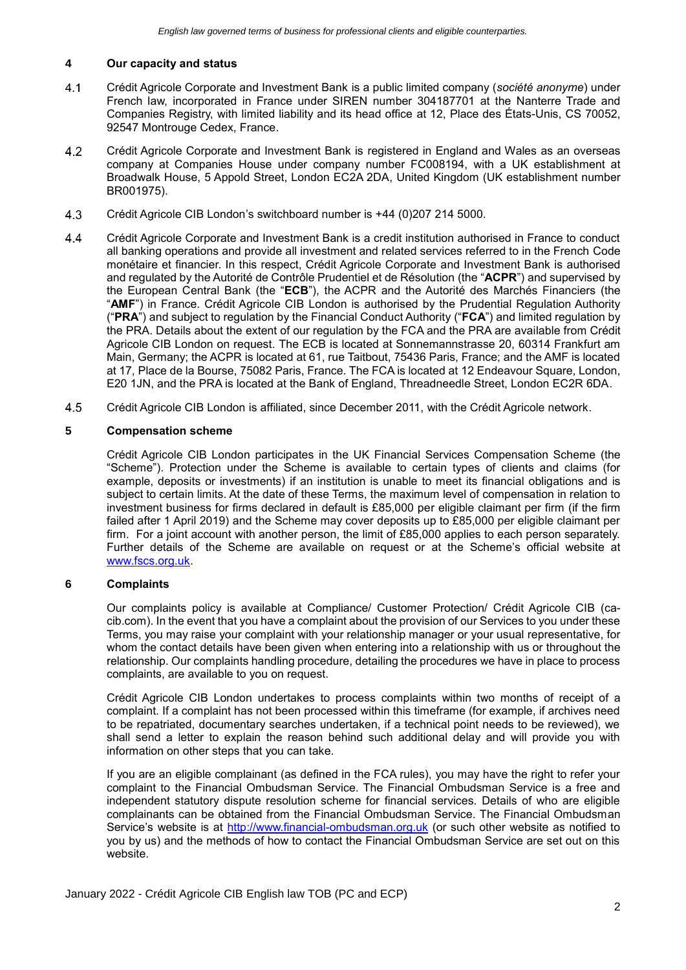## **4 Our capacity and status**

- $4.1$ Crédit Agricole Corporate and Investment Bank is a public limited company (*société anonyme*) under French law, incorporated in France under SIREN number 304187701 at the Nanterre Trade and Companies Registry, with limited liability and its head office at 12, Place des États-Unis, CS 70052, 92547 Montrouge Cedex, France.
- $4.2$ Crédit Agricole Corporate and Investment Bank is registered in England and Wales as an overseas company at Companies House under company number FC008194, with a UK establishment at Broadwalk House, 5 Appold Street, London EC2A 2DA, United Kingdom (UK establishment number BR001975).
- $4.3$ Crédit Agricole CIB London's switchboard number is +44 (0)207 214 5000.
- 44 Crédit Agricole Corporate and Investment Bank is a credit institution authorised in France to conduct all banking operations and provide all investment and related services referred to in the French Code monétaire et financier. In this respect, Crédit Agricole Corporate and Investment Bank is authorised and regulated by the Autorité de Contrôle Prudentiel et de Résolution (the "**ACPR**") and supervised by the European Central Bank (the "**ECB**"), the ACPR and the Autorité des Marchés Financiers (the "**AMF**") in France. Crédit Agricole CIB London is authorised by the Prudential Regulation Authority ("**PRA**") and subject to regulation by the Financial Conduct Authority ("**FCA**") and limited regulation by the PRA. Details about the extent of our regulation by the FCA and the PRA are available from Crédit Agricole CIB London on request. The ECB is located at Sonnemannstrasse 20, 60314 Frankfurt am Main, Germany; the ACPR is located at 61, rue Taitbout, 75436 Paris, France; and the AMF is located at 17, Place de la Bourse, 75082 Paris, France. The FCA is located at 12 Endeavour Square, London, E20 1JN, and the PRA is located at the Bank of England, Threadneedle Street, London EC2R 6DA.
- 4.5 Crédit Agricole CIB London is affiliated, since December 2011, with the Crédit Agricole network.

## **5 Compensation scheme**

Crédit Agricole CIB London participates in the UK Financial Services Compensation Scheme (the "Scheme"). Protection under the Scheme is available to certain types of clients and claims (for example, deposits or investments) if an institution is unable to meet its financial obligations and is subject to certain limits. At the date of these Terms, the maximum level of compensation in relation to investment business for firms declared in default is £85,000 per eligible claimant per firm (if the firm failed after 1 April 2019) and the Scheme may cover deposits up to £85,000 per eligible claimant per firm. For a joint account with another person, the limit of £85,000 applies to each person separately. Further details of the Scheme are available on request or at the Scheme's official website at [www.fscs.org.uk.](http://www.fscs.org.uk/)

# **6 Complaints**

Our complaints policy is available at Compliance/ Customer Protection/ Crédit Agricole CIB (cacib.com). In the event that you have a complaint about the provision of our Services to you under these Terms, you may raise your complaint with your relationship manager or your usual representative, for whom the contact details have been given when entering into a relationship with us or throughout the relationship. Our complaints handling procedure, detailing the procedures we have in place to process complaints, are available to you on request.

Crédit Agricole CIB London undertakes to process complaints within two months of receipt of a complaint. If a complaint has not been processed within this timeframe (for example, if archives need to be repatriated, documentary searches undertaken, if a technical point needs to be reviewed), we shall send a letter to explain the reason behind such additional delay and will provide you with information on other steps that you can take.

If you are an eligible complainant (as defined in the FCA rules), you may have the right to refer your complaint to the Financial Ombudsman Service. The Financial Ombudsman Service is a free and independent statutory dispute resolution scheme for financial services. Details of who are eligible complainants can be obtained from the Financial Ombudsman Service. The Financial Ombudsman Service's website is at [http://www.financial-ombudsman.org.uk](http://www.financial-ombudsman.org.uk/) (or such other website as notified to you by us) and the methods of how to contact the Financial Ombudsman Service are set out on this website.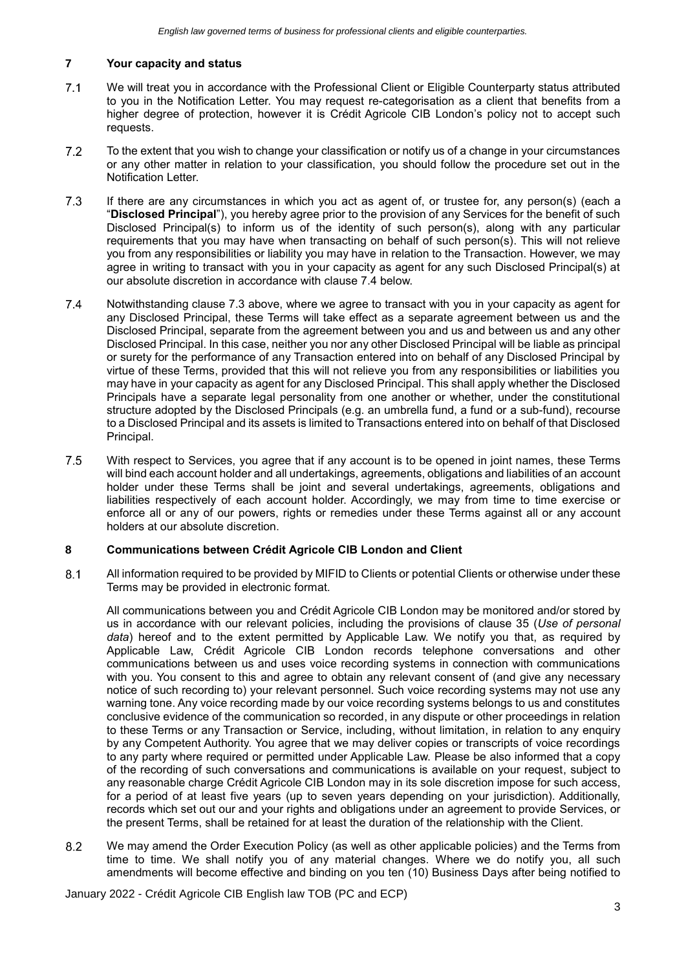# **7 Your capacity and status**

- $7.1$ We will treat you in accordance with the Professional Client or Eligible Counterparty status attributed to you in the Notification Letter. You may request re-categorisation as a client that benefits from a higher degree of protection, however it is Crédit Agricole CIB London's policy not to accept such requests.
- $7.2$ To the extent that you wish to change your classification or notify us of a change in your circumstances or any other matter in relation to your classification, you should follow the procedure set out in the Notification Letter.
- $7.3$ If there are any circumstances in which you act as agent of, or trustee for, any person(s) (each a "**Disclosed Principal**"), you hereby agree prior to the provision of any Services for the benefit of such Disclosed Principal(s) to inform us of the identity of such person(s), along with any particular requirements that you may have when transacting on behalf of such person(s). This will not relieve you from any responsibilities or liability you may have in relation to the Transaction. However, we may agree in writing to transact with you in your capacity as agent for any such Disclosed Principal(s) at our absolute discretion in accordance with clause 7.4 below.
- $7.4$ Notwithstanding clause 7.3 above, where we agree to transact with you in your capacity as agent for any Disclosed Principal, these Terms will take effect as a separate agreement between us and the Disclosed Principal, separate from the agreement between you and us and between us and any other Disclosed Principal. In this case, neither you nor any other Disclosed Principal will be liable as principal or surety for the performance of any Transaction entered into on behalf of any Disclosed Principal by virtue of these Terms, provided that this will not relieve you from any responsibilities or liabilities you may have in your capacity as agent for any Disclosed Principal. This shall apply whether the Disclosed Principals have a separate legal personality from one another or whether, under the constitutional structure adopted by the Disclosed Principals (e.g. an umbrella fund, a fund or a sub-fund), recourse to a Disclosed Principal and its assets is limited to Transactions entered into on behalf of that Disclosed Principal.
- $7.5$ With respect to Services, you agree that if any account is to be opened in joint names, these Terms will bind each account holder and all undertakings, agreements, obligations and liabilities of an account holder under these Terms shall be joint and several undertakings, agreements, obligations and liabilities respectively of each account holder. Accordingly, we may from time to time exercise or enforce all or any of our powers, rights or remedies under these Terms against all or any account holders at our absolute discretion.

# **8 Communications between Crédit Agricole CIB London and Client**

 $8.1$ All information required to be provided by MIFID to Clients or potential Clients or otherwise under these Terms may be provided in electronic format.

All communications between you and Crédit Agricole CIB London may be monitored and/or stored by us in accordance with our relevant policies, including the provisions of clause 35 (*Use of personal data*) hereof and to the extent permitted by Applicable Law. We notify you that, as required by Applicable Law, Crédit Agricole CIB London records telephone conversations and other communications between us and uses voice recording systems in connection with communications with you. You consent to this and agree to obtain any relevant consent of (and give any necessary notice of such recording to) your relevant personnel. Such voice recording systems may not use any warning tone. Any voice recording made by our voice recording systems belongs to us and constitutes conclusive evidence of the communication so recorded, in any dispute or other proceedings in relation to these Terms or any Transaction or Service, including, without limitation, in relation to any enquiry by any Competent Authority. You agree that we may deliver copies or transcripts of voice recordings to any party where required or permitted under Applicable Law. Please be also informed that a copy of the recording of such conversations and communications is available on your request, subject to any reasonable charge Crédit Agricole CIB London may in its sole discretion impose for such access, for a period of at least five years (up to seven years depending on your jurisdiction). Additionally, records which set out our and your rights and obligations under an agreement to provide Services, or the present Terms, shall be retained for at least the duration of the relationship with the Client.

8.2 We may amend the Order Execution Policy (as well as other applicable policies) and the Terms from time to time. We shall notify you of any material changes. Where we do notify you, all such amendments will become effective and binding on you ten (10) Business Days after being notified to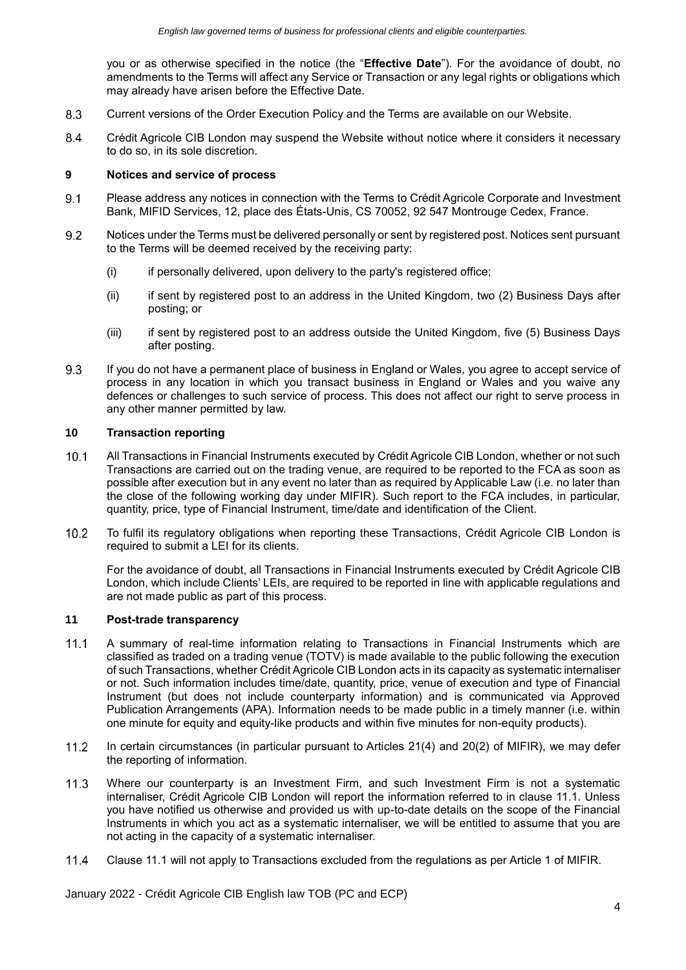you or as otherwise specified in the notice (the "**Effective Date**"). For the avoidance of doubt, no amendments to the Terms will affect any Service or Transaction or any legal rights or obligations which may already have arisen before the Effective Date.

- 8.3 Current versions of the Order Execution Policy and the Terms are available on our Website.
- 8.4 Crédit Agricole CIB London may suspend the Website without notice where it considers it necessary to do so, in its sole discretion.

#### **9 Notices and service of process**

- $9.1$ Please address any notices in connection with the Terms to Crédit Agricole Corporate and Investment Bank, MIFID Services, 12, place des États-Unis, CS 70052, 92 547 Montrouge Cedex, France.
- $9.2$ Notices under the Terms must be delivered personally or sent by registered post. Notices sent pursuant to the Terms will be deemed received by the receiving party:
	- (i) if personally delivered, upon delivery to the party's registered office;
	- (ii) if sent by registered post to an address in the United Kingdom, two (2) Business Days after posting; or
	- (iii) if sent by registered post to an address outside the United Kingdom, five (5) Business Days after posting.
- If you do not have a permanent place of business in England or Wales, you agree to accept service of 9.3 process in any location in which you transact business in England or Wales and you waive any defences or challenges to such service of process. This does not affect our right to serve process in any other manner permitted by law.

## **10 Transaction reporting**

- $10.1$ All Transactions in Financial Instruments executed by Crédit Agricole CIB London, whether or not such Transactions are carried out on the trading venue, are required to be reported to the FCA as soon as possible after execution but in any event no later than as required by Applicable Law (i.e. no later than the close of the following working day under MIFIR). Such report to the FCA includes, in particular, quantity, price, type of Financial Instrument, time/date and identification of the Client.
- $10.2$ To fulfil its regulatory obligations when reporting these Transactions, Crédit Agricole CIB London is required to submit a LEI for its clients.

For the avoidance of doubt, all Transactions in Financial Instruments executed by Crédit Agricole CIB London, which include Clients' LEIs, are required to be reported in line with applicable regulations and are not made public as part of this process.

# **11 Post-trade transparency**

- $11.1$ A summary of real-time information relating to Transactions in Financial Instruments which are classified as traded on a trading venue (TOTV) is made available to the public following the execution of such Transactions, whether Crédit Agricole CIB London acts in its capacity as systematic internaliser or not. Such information includes time/date, quantity, price, venue of execution and type of Financial Instrument (but does not include counterparty information) and is communicated via Approved Publication Arrangements (APA). Information needs to be made public in a timely manner (i.e. within one minute for equity and equity-like products and within five minutes for non-equity products).
- $11.2$ In certain circumstances (in particular pursuant to Articles 21(4) and 20(2) of MIFIR), we may defer the reporting of information.
- $11.3$ Where our counterparty is an Investment Firm, and such Investment Firm is not a systematic internaliser, Crédit Agricole CIB London will report the information referred to in clause 11.1. Unless you have notified us otherwise and provided us with up-to-date details on the scope of the Financial Instruments in which you act as a systematic internaliser, we will be entitled to assume that you are not acting in the capacity of a systematic internaliser.
- $11.4$ Clause 11.1 will not apply to Transactions excluded from the regulations as per Article 1 of MIFIR.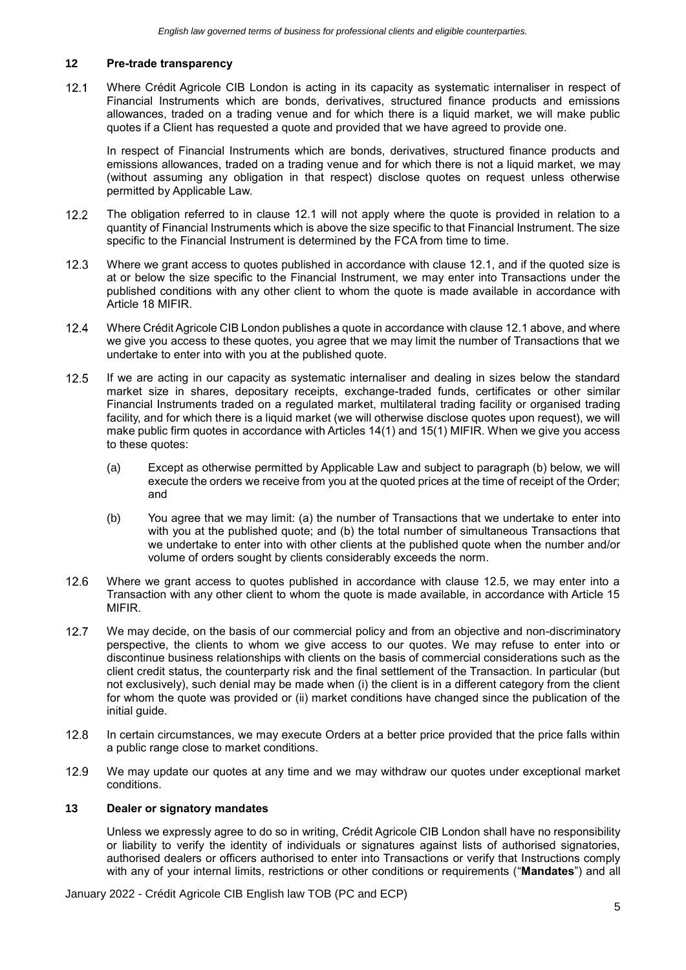## **12 Pre-trade transparency**

 $12.1$ Where Crédit Agricole CIB London is acting in its capacity as systematic internaliser in respect of Financial Instruments which are bonds, derivatives, structured finance products and emissions allowances, traded on a trading venue and for which there is a liquid market, we will make public quotes if a Client has requested a quote and provided that we have agreed to provide one.

In respect of Financial Instruments which are bonds, derivatives, structured finance products and emissions allowances, traded on a trading venue and for which there is not a liquid market, we may (without assuming any obligation in that respect) disclose quotes on request unless otherwise permitted by Applicable Law.

- $12.2$ The obligation referred to in clause 12.1 will not apply where the quote is provided in relation to a quantity of Financial Instruments which is above the size specific to that Financial Instrument. The size specific to the Financial Instrument is determined by the FCA from time to time.
- $12.3$ Where we grant access to quotes published in accordance with clause 12.1, and if the quoted size is at or below the size specific to the Financial Instrument, we may enter into Transactions under the published conditions with any other client to whom the quote is made available in accordance with Article 18 MIFIR.
- $12.4$ Where Crédit Agricole CIB London publishes a quote in accordance with clause 12.1 above, and where we give you access to these quotes, you agree that we may limit the number of Transactions that we undertake to enter into with you at the published quote.
- If we are acting in our capacity as systematic internaliser and dealing in sizes below the standard  $12.5$ market size in shares, depositary receipts, exchange-traded funds, certificates or other similar Financial Instruments traded on a regulated market, multilateral trading facility or organised trading facility, and for which there is a liquid market (we will otherwise disclose quotes upon request), we will make public firm quotes in accordance with Articles 14(1) and 15(1) MIFIR. When we give you access to these quotes:
	- (a) Except as otherwise permitted by Applicable Law and subject to paragraph (b) below, we will execute the orders we receive from you at the quoted prices at the time of receipt of the Order; and
	- (b) You agree that we may limit: (a) the number of Transactions that we undertake to enter into with you at the published quote; and (b) the total number of simultaneous Transactions that we undertake to enter into with other clients at the published quote when the number and/or volume of orders sought by clients considerably exceeds the norm.
- 12.6 Where we grant access to quotes published in accordance with clause 12.5, we may enter into a Transaction with any other client to whom the quote is made available, in accordance with Article 15 MIFIR.
- $127$ We may decide, on the basis of our commercial policy and from an objective and non-discriminatory perspective, the clients to whom we give access to our quotes. We may refuse to enter into or discontinue business relationships with clients on the basis of commercial considerations such as the client credit status, the counterparty risk and the final settlement of the Transaction. In particular (but not exclusively), such denial may be made when (i) the client is in a different category from the client for whom the quote was provided or (ii) market conditions have changed since the publication of the initial guide.
- $12.8$ In certain circumstances, we may execute Orders at a better price provided that the price falls within a public range close to market conditions.
- 12.9 We may update our quotes at any time and we may withdraw our quotes under exceptional market conditions.

#### **13 Dealer or signatory mandates**

Unless we expressly agree to do so in writing, Crédit Agricole CIB London shall have no responsibility or liability to verify the identity of individuals or signatures against lists of authorised signatories, authorised dealers or officers authorised to enter into Transactions or verify that Instructions comply with any of your internal limits, restrictions or other conditions or requirements ("**Mandates**") and all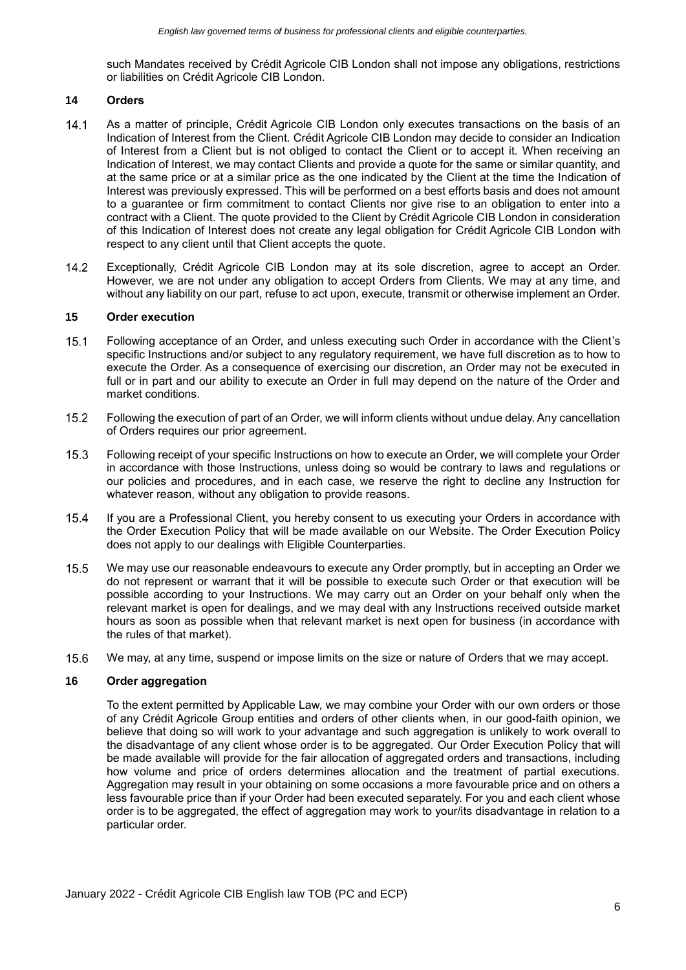such Mandates received by Crédit Agricole CIB London shall not impose any obligations, restrictions or liabilities on Crédit Agricole CIB London.

# **14 Orders**

- $14.1$ As a matter of principle, Crédit Agricole CIB London only executes transactions on the basis of an Indication of Interest from the Client. Crédit Agricole CIB London may decide to consider an Indication of Interest from a Client but is not obliged to contact the Client or to accept it. When receiving an Indication of Interest, we may contact Clients and provide a quote for the same or similar quantity, and at the same price or at a similar price as the one indicated by the Client at the time the Indication of Interest was previously expressed. This will be performed on a best efforts basis and does not amount to a guarantee or firm commitment to contact Clients nor give rise to an obligation to enter into a contract with a Client. The quote provided to the Client by Crédit Agricole CIB London in consideration of this Indication of Interest does not create any legal obligation for Crédit Agricole CIB London with respect to any client until that Client accepts the quote.
- $14.2$ Exceptionally, Crédit Agricole CIB London may at its sole discretion, agree to accept an Order. However, we are not under any obligation to accept Orders from Clients. We may at any time, and without any liability on our part, refuse to act upon, execute, transmit or otherwise implement an Order.

# **15 Order execution**

- $15.1$ Following acceptance of an Order, and unless executing such Order in accordance with the Client's specific Instructions and/or subject to any regulatory requirement, we have full discretion as to how to execute the Order. As a consequence of exercising our discretion, an Order may not be executed in full or in part and our ability to execute an Order in full may depend on the nature of the Order and market conditions.
- $15.2$ Following the execution of part of an Order, we will inform clients without undue delay. Any cancellation of Orders requires our prior agreement.
- 15.3 Following receipt of your specific Instructions on how to execute an Order, we will complete your Order in accordance with those Instructions, unless doing so would be contrary to laws and regulations or our policies and procedures, and in each case, we reserve the right to decline any Instruction for whatever reason, without any obligation to provide reasons.
- 15.4 If you are a Professional Client, you hereby consent to us executing your Orders in accordance with the Order Execution Policy that will be made available on our Website. The Order Execution Policy does not apply to our dealings with Eligible Counterparties.
- 15.5 We may use our reasonable endeavours to execute any Order promptly, but in accepting an Order we do not represent or warrant that it will be possible to execute such Order or that execution will be possible according to your Instructions. We may carry out an Order on your behalf only when the relevant market is open for dealings, and we may deal with any Instructions received outside market hours as soon as possible when that relevant market is next open for business (in accordance with the rules of that market).
- 15.6 We may, at any time, suspend or impose limits on the size or nature of Orders that we may accept.

# **16 Order aggregation**

To the extent permitted by Applicable Law, we may combine your Order with our own orders or those of any Crédit Agricole Group entities and orders of other clients when, in our good-faith opinion, we believe that doing so will work to your advantage and such aggregation is unlikely to work overall to the disadvantage of any client whose order is to be aggregated. Our Order Execution Policy that will be made available will provide for the fair allocation of aggregated orders and transactions, including how volume and price of orders determines allocation and the treatment of partial executions. Aggregation may result in your obtaining on some occasions a more favourable price and on others a less favourable price than if your Order had been executed separately. For you and each client whose order is to be aggregated, the effect of aggregation may work to your/its disadvantage in relation to a particular order.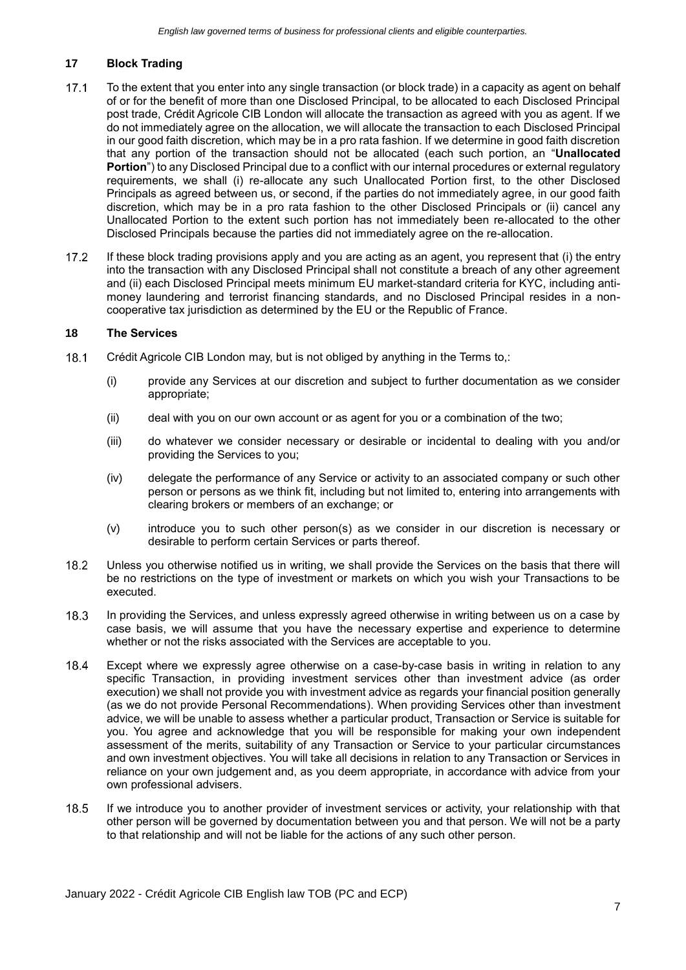# **17 Block Trading**

- $17.1$ To the extent that you enter into any single transaction (or block trade) in a capacity as agent on behalf of or for the benefit of more than one Disclosed Principal, to be allocated to each Disclosed Principal post trade, Crédit Agricole CIB London will allocate the transaction as agreed with you as agent. If we do not immediately agree on the allocation, we will allocate the transaction to each Disclosed Principal in our good faith discretion, which may be in a pro rata fashion. If we determine in good faith discretion that any portion of the transaction should not be allocated (each such portion, an "**Unallocated Portion**") to any Disclosed Principal due to a conflict with our internal procedures or external regulatory requirements, we shall (i) re-allocate any such Unallocated Portion first, to the other Disclosed Principals as agreed between us, or second, if the parties do not immediately agree, in our good faith discretion, which may be in a pro rata fashion to the other Disclosed Principals or (ii) cancel any Unallocated Portion to the extent such portion has not immediately been re-allocated to the other Disclosed Principals because the parties did not immediately agree on the re-allocation.
- $17.2$ If these block trading provisions apply and you are acting as an agent, you represent that (i) the entry into the transaction with any Disclosed Principal shall not constitute a breach of any other agreement and (ii) each Disclosed Principal meets minimum EU market-standard criteria for KYC, including antimoney laundering and terrorist financing standards, and no Disclosed Principal resides in a noncooperative tax jurisdiction as determined by the EU or the Republic of France.

## **18 The Services**

- $18.1$ Crédit Agricole CIB London may, but is not obliged by anything in the Terms to,:
	- (i) provide any Services at our discretion and subject to further documentation as we consider appropriate;
	- (ii) deal with you on our own account or as agent for you or a combination of the two;
	- (iii) do whatever we consider necessary or desirable or incidental to dealing with you and/or providing the Services to you;
	- (iv) delegate the performance of any Service or activity to an associated company or such other person or persons as we think fit, including but not limited to, entering into arrangements with clearing brokers or members of an exchange; or
	- (v) introduce you to such other person(s) as we consider in our discretion is necessary or desirable to perform certain Services or parts thereof.
- 18.2 Unless you otherwise notified us in writing, we shall provide the Services on the basis that there will be no restrictions on the type of investment or markets on which you wish your Transactions to be executed.
- $18.3$ In providing the Services, and unless expressly agreed otherwise in writing between us on a case by case basis, we will assume that you have the necessary expertise and experience to determine whether or not the risks associated with the Services are acceptable to you.
- 18.4 Except where we expressly agree otherwise on a case-by-case basis in writing in relation to any specific Transaction, in providing investment services other than investment advice (as order execution) we shall not provide you with investment advice as regards your financial position generally (as we do not provide Personal Recommendations). When providing Services other than investment advice, we will be unable to assess whether a particular product, Transaction or Service is suitable for you. You agree and acknowledge that you will be responsible for making your own independent assessment of the merits, suitability of any Transaction or Service to your particular circumstances and own investment objectives. You will take all decisions in relation to any Transaction or Services in reliance on your own judgement and, as you deem appropriate, in accordance with advice from your own professional advisers.
- 18.5 If we introduce you to another provider of investment services or activity, your relationship with that other person will be governed by documentation between you and that person. We will not be a party to that relationship and will not be liable for the actions of any such other person.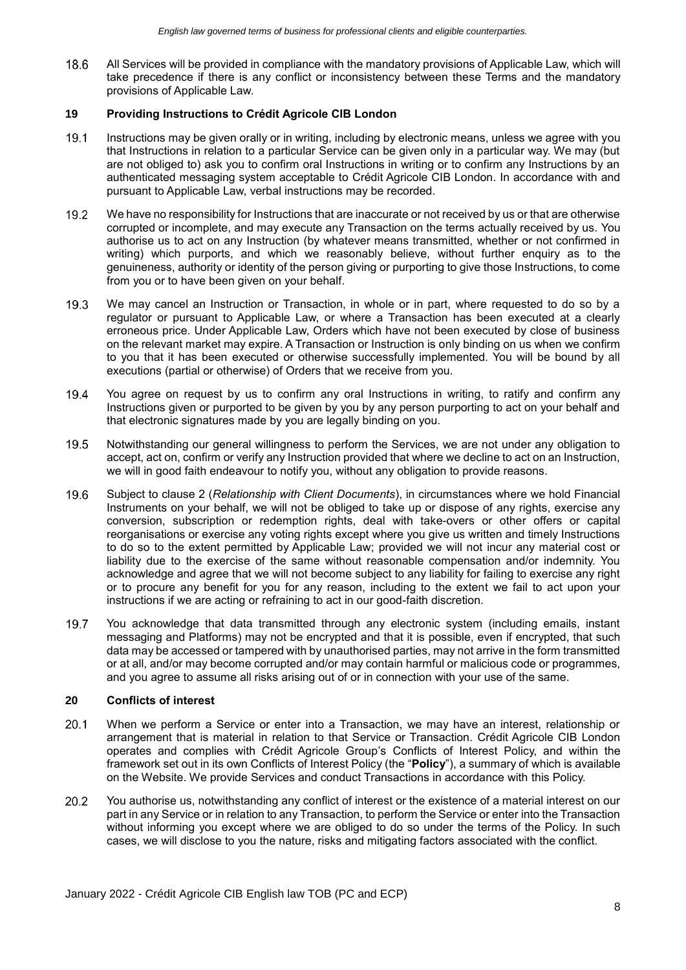18.6 All Services will be provided in compliance with the mandatory provisions of Applicable Law, which will take precedence if there is any conflict or inconsistency between these Terms and the mandatory provisions of Applicable Law.

## **19 Providing Instructions to Crédit Agricole CIB London**

- $19.1$ Instructions may be given orally or in writing, including by electronic means, unless we agree with you that Instructions in relation to a particular Service can be given only in a particular way. We may (but are not obliged to) ask you to confirm oral Instructions in writing or to confirm any Instructions by an authenticated messaging system acceptable to Crédit Agricole CIB London. In accordance with and pursuant to Applicable Law, verbal instructions may be recorded.
- $19.2$ We have no responsibility for Instructions that are inaccurate or not received by us or that are otherwise corrupted or incomplete, and may execute any Transaction on the terms actually received by us. You authorise us to act on any Instruction (by whatever means transmitted, whether or not confirmed in writing) which purports, and which we reasonably believe, without further enquiry as to the genuineness, authority or identity of the person giving or purporting to give those Instructions, to come from you or to have been given on your behalf.
- $19.3$ We may cancel an Instruction or Transaction, in whole or in part, where requested to do so by a regulator or pursuant to Applicable Law, or where a Transaction has been executed at a clearly erroneous price. Under Applicable Law, Orders which have not been executed by close of business on the relevant market may expire. A Transaction or Instruction is only binding on us when we confirm to you that it has been executed or otherwise successfully implemented. You will be bound by all executions (partial or otherwise) of Orders that we receive from you.
- 19.4 You agree on request by us to confirm any oral Instructions in writing, to ratify and confirm any Instructions given or purported to be given by you by any person purporting to act on your behalf and that electronic signatures made by you are legally binding on you.
- 19.5 Notwithstanding our general willingness to perform the Services, we are not under any obligation to accept, act on, confirm or verify any Instruction provided that where we decline to act on an Instruction, we will in good faith endeavour to notify you, without any obligation to provide reasons.
- 19.6 Subject to clause 2 (*Relationship with Client Documents*), in circumstances where we hold Financial Instruments on your behalf, we will not be obliged to take up or dispose of any rights, exercise any conversion, subscription or redemption rights, deal with take-overs or other offers or capital reorganisations or exercise any voting rights except where you give us written and timely Instructions to do so to the extent permitted by Applicable Law; provided we will not incur any material cost or liability due to the exercise of the same without reasonable compensation and/or indemnity. You acknowledge and agree that we will not become subject to any liability for failing to exercise any right or to procure any benefit for you for any reason, including to the extent we fail to act upon your instructions if we are acting or refraining to act in our good-faith discretion.
- 19.7 You acknowledge that data transmitted through any electronic system (including emails, instant messaging and Platforms) may not be encrypted and that it is possible, even if encrypted, that such data may be accessed or tampered with by unauthorised parties, may not arrive in the form transmitted or at all, and/or may become corrupted and/or may contain harmful or malicious code or programmes, and you agree to assume all risks arising out of or in connection with your use of the same.

#### **20 Conflicts of interest**

- $20.1$ When we perform a Service or enter into a Transaction, we may have an interest, relationship or arrangement that is material in relation to that Service or Transaction. Crédit Agricole CIB London operates and complies with Crédit Agricole Group's Conflicts of Interest Policy, and within the framework set out in its own Conflicts of Interest Policy (the "**Policy**"), a summary of which is available on the Website. We provide Services and conduct Transactions in accordance with this Policy.
- 20.2 You authorise us, notwithstanding any conflict of interest or the existence of a material interest on our part in any Service or in relation to any Transaction, to perform the Service or enter into the Transaction without informing you except where we are obliged to do so under the terms of the Policy. In such cases, we will disclose to you the nature, risks and mitigating factors associated with the conflict.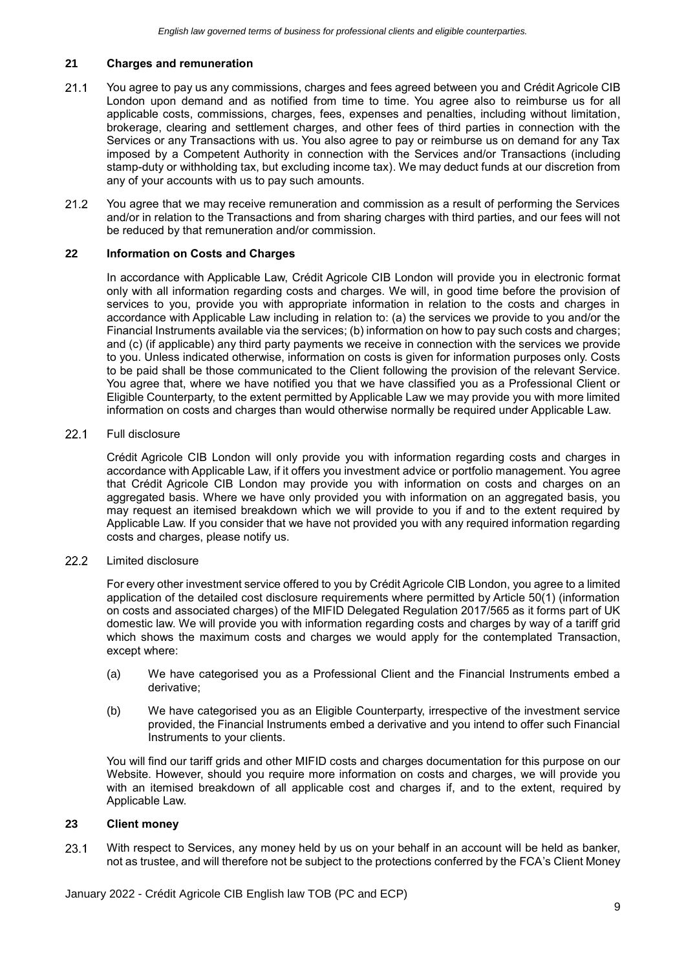## **21 Charges and remuneration**

- $21.1$ You agree to pay us any commissions, charges and fees agreed between you and Crédit Agricole CIB London upon demand and as notified from time to time. You agree also to reimburse us for all applicable costs, commissions, charges, fees, expenses and penalties, including without limitation, brokerage, clearing and settlement charges, and other fees of third parties in connection with the Services or any Transactions with us. You also agree to pay or reimburse us on demand for any Tax imposed by a Competent Authority in connection with the Services and/or Transactions (including stamp-duty or withholding tax, but excluding income tax). We may deduct funds at our discretion from any of your accounts with us to pay such amounts.
- 21.2 You agree that we may receive remuneration and commission as a result of performing the Services and/or in relation to the Transactions and from sharing charges with third parties, and our fees will not be reduced by that remuneration and/or commission.

## **22 Information on Costs and Charges**

In accordance with Applicable Law, Crédit Agricole CIB London will provide you in electronic format only with all information regarding costs and charges. We will, in good time before the provision of services to you, provide you with appropriate information in relation to the costs and charges in accordance with Applicable Law including in relation to: (a) the services we provide to you and/or the Financial Instruments available via the services; (b) information on how to pay such costs and charges; and (c) (if applicable) any third party payments we receive in connection with the services we provide to you. Unless indicated otherwise, information on costs is given for information purposes only. Costs to be paid shall be those communicated to the Client following the provision of the relevant Service. You agree that, where we have notified you that we have classified you as a Professional Client or Eligible Counterparty, to the extent permitted by Applicable Law we may provide you with more limited information on costs and charges than would otherwise normally be required under Applicable Law.

#### $22.1$ Full disclosure

Crédit Agricole CIB London will only provide you with information regarding costs and charges in accordance with Applicable Law, if it offers you investment advice or portfolio management. You agree that Crédit Agricole CIB London may provide you with information on costs and charges on an aggregated basis. Where we have only provided you with information on an aggregated basis, you may request an itemised breakdown which we will provide to you if and to the extent required by Applicable Law. If you consider that we have not provided you with any required information regarding costs and charges, please notify us.

#### $222$ Limited disclosure

For every other investment service offered to you by Crédit Agricole CIB London, you agree to a limited application of the detailed cost disclosure requirements where permitted by Article 50(1) (information on costs and associated charges) of the MIFID Delegated Regulation 2017/565 as it forms part of UK domestic law. We will provide you with information regarding costs and charges by way of a tariff grid which shows the maximum costs and charges we would apply for the contemplated Transaction, except where:

- (a) We have categorised you as a Professional Client and the Financial Instruments embed a derivative;
- (b) We have categorised you as an Eligible Counterparty, irrespective of the investment service provided, the Financial Instruments embed a derivative and you intend to offer such Financial Instruments to your clients.

You will find our tariff grids and other MIFID costs and charges documentation for this purpose on our Website. However, should you require more information on costs and charges, we will provide you with an itemised breakdown of all applicable cost and charges if, and to the extent, required by Applicable Law.

#### **23 Client money**

23.1 With respect to Services, any money held by us on your behalf in an account will be held as banker, not as trustee, and will therefore not be subject to the protections conferred by the FCA's Client Money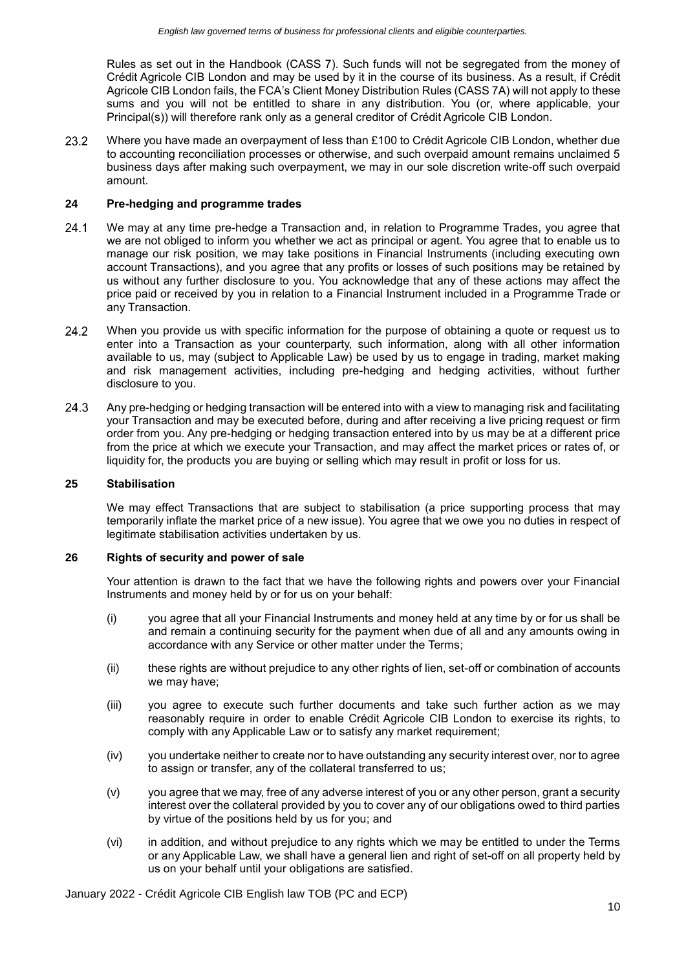Rules as set out in the Handbook (CASS 7). Such funds will not be segregated from the money of Crédit Agricole CIB London and may be used by it in the course of its business. As a result, if Crédit Agricole CIB London fails, the FCA's Client Money Distribution Rules (CASS 7A) will not apply to these sums and you will not be entitled to share in any distribution. You (or, where applicable, your Principal(s)) will therefore rank only as a general creditor of Crédit Agricole CIB London.

23.2 Where you have made an overpayment of less than £100 to Crédit Agricole CIB London, whether due to accounting reconciliation processes or otherwise, and such overpaid amount remains unclaimed 5 business days after making such overpayment, we may in our sole discretion write-off such overpaid amount.

#### **24 Pre-hedging and programme trades**

- $24.1$ We may at any time pre-hedge a Transaction and, in relation to Programme Trades, you agree that we are not obliged to inform you whether we act as principal or agent. You agree that to enable us to manage our risk position, we may take positions in Financial Instruments (including executing own account Transactions), and you agree that any profits or losses of such positions may be retained by us without any further disclosure to you. You acknowledge that any of these actions may affect the price paid or received by you in relation to a Financial Instrument included in a Programme Trade or any Transaction.
- 24.2 When you provide us with specific information for the purpose of obtaining a quote or request us to enter into a Transaction as your counterparty, such information, along with all other information available to us, may (subject to Applicable Law) be used by us to engage in trading, market making and risk management activities, including pre-hedging and hedging activities, without further disclosure to you.
- 24.3 Any pre-hedging or hedging transaction will be entered into with a view to managing risk and facilitating your Transaction and may be executed before, during and after receiving a live pricing request or firm order from you. Any pre-hedging or hedging transaction entered into by us may be at a different price from the price at which we execute your Transaction, and may affect the market prices or rates of, or liquidity for, the products you are buying or selling which may result in profit or loss for us.

## **25 Stabilisation**

We may effect Transactions that are subject to stabilisation (a price supporting process that may temporarily inflate the market price of a new issue). You agree that we owe you no duties in respect of legitimate stabilisation activities undertaken by us.

#### **26 Rights of security and power of sale**

Your attention is drawn to the fact that we have the following rights and powers over your Financial Instruments and money held by or for us on your behalf:

- (i) you agree that all your Financial Instruments and money held at any time by or for us shall be and remain a continuing security for the payment when due of all and any amounts owing in accordance with any Service or other matter under the Terms;
- (ii) these rights are without prejudice to any other rights of lien, set-off or combination of accounts we may have;
- (iii) you agree to execute such further documents and take such further action as we may reasonably require in order to enable Crédit Agricole CIB London to exercise its rights, to comply with any Applicable Law or to satisfy any market requirement;
- (iv) you undertake neither to create nor to have outstanding any security interest over, nor to agree to assign or transfer, any of the collateral transferred to us;
- (v) you agree that we may, free of any adverse interest of you or any other person, grant a security interest over the collateral provided by you to cover any of our obligations owed to third parties by virtue of the positions held by us for you; and
- (vi) in addition, and without prejudice to any rights which we may be entitled to under the Terms or any Applicable Law, we shall have a general lien and right of set-off on all property held by us on your behalf until your obligations are satisfied.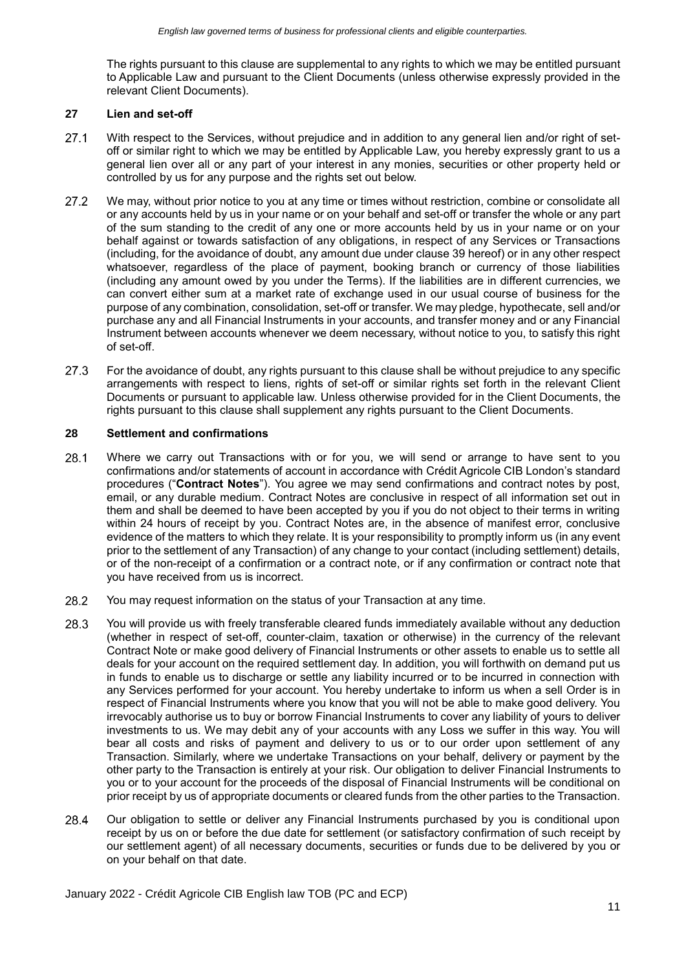The rights pursuant to this clause are supplemental to any rights to which we may be entitled pursuant to Applicable Law and pursuant to the Client Documents (unless otherwise expressly provided in the relevant Client Documents).

## **27 Lien and set-off**

- $27.1$ With respect to the Services, without prejudice and in addition to any general lien and/or right of setoff or similar right to which we may be entitled by Applicable Law, you hereby expressly grant to us a general lien over all or any part of your interest in any monies, securities or other property held or controlled by us for any purpose and the rights set out below.
- 27.2 We may, without prior notice to you at any time or times without restriction, combine or consolidate all or any accounts held by us in your name or on your behalf and set-off or transfer the whole or any part of the sum standing to the credit of any one or more accounts held by us in your name or on your behalf against or towards satisfaction of any obligations, in respect of any Services or Transactions (including, for the avoidance of doubt, any amount due under clause 39 hereof) or in any other respect whatsoever, regardless of the place of payment, booking branch or currency of those liabilities (including any amount owed by you under the Terms). If the liabilities are in different currencies, we can convert either sum at a market rate of exchange used in our usual course of business for the purpose of any combination, consolidation, set-off or transfer. We may pledge, hypothecate, sell and/or purchase any and all Financial Instruments in your accounts, and transfer money and or any Financial Instrument between accounts whenever we deem necessary, without notice to you, to satisfy this right of set-off.
- 27.3 For the avoidance of doubt, any rights pursuant to this clause shall be without prejudice to any specific arrangements with respect to liens, rights of set-off or similar rights set forth in the relevant Client Documents or pursuant to applicable law. Unless otherwise provided for in the Client Documents, the rights pursuant to this clause shall supplement any rights pursuant to the Client Documents.

## **28 Settlement and confirmations**

- 28.1 Where we carry out Transactions with or for you, we will send or arrange to have sent to you confirmations and/or statements of account in accordance with Crédit Agricole CIB London's standard procedures ("**Contract Notes**"). You agree we may send confirmations and contract notes by post, email, or any durable medium. Contract Notes are conclusive in respect of all information set out in them and shall be deemed to have been accepted by you if you do not object to their terms in writing within 24 hours of receipt by you. Contract Notes are, in the absence of manifest error, conclusive evidence of the matters to which they relate. It is your responsibility to promptly inform us (in any event prior to the settlement of any Transaction) of any change to your contact (including settlement) details, or of the non-receipt of a confirmation or a contract note, or if any confirmation or contract note that you have received from us is incorrect.
- 28.2 You may request information on the status of your Transaction at any time.
- 28.3 You will provide us with freely transferable cleared funds immediately available without any deduction (whether in respect of set-off, counter-claim, taxation or otherwise) in the currency of the relevant Contract Note or make good delivery of Financial Instruments or other assets to enable us to settle all deals for your account on the required settlement day. In addition, you will forthwith on demand put us in funds to enable us to discharge or settle any liability incurred or to be incurred in connection with any Services performed for your account. You hereby undertake to inform us when a sell Order is in respect of Financial Instruments where you know that you will not be able to make good delivery. You irrevocably authorise us to buy or borrow Financial Instruments to cover any liability of yours to deliver investments to us. We may debit any of your accounts with any Loss we suffer in this way. You will bear all costs and risks of payment and delivery to us or to our order upon settlement of any Transaction. Similarly, where we undertake Transactions on your behalf, delivery or payment by the other party to the Transaction is entirely at your risk. Our obligation to deliver Financial Instruments to you or to your account for the proceeds of the disposal of Financial Instruments will be conditional on prior receipt by us of appropriate documents or cleared funds from the other parties to the Transaction.
- 28.4 Our obligation to settle or deliver any Financial Instruments purchased by you is conditional upon receipt by us on or before the due date for settlement (or satisfactory confirmation of such receipt by our settlement agent) of all necessary documents, securities or funds due to be delivered by you or on your behalf on that date.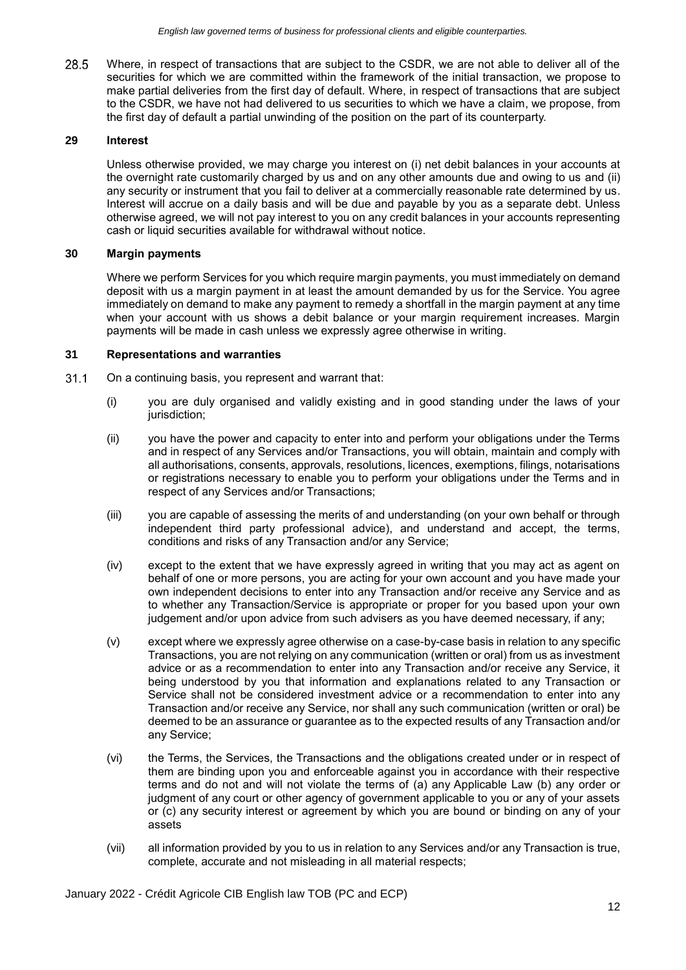28.5 Where, in respect of transactions that are subject to the CSDR, we are not able to deliver all of the securities for which we are committed within the framework of the initial transaction, we propose to make partial deliveries from the first day of default. Where, in respect of transactions that are subject to the CSDR, we have not had delivered to us securities to which we have a claim, we propose, from the first day of default a partial unwinding of the position on the part of its counterparty.

## **29 Interest**

Unless otherwise provided, we may charge you interest on (i) net debit balances in your accounts at the overnight rate customarily charged by us and on any other amounts due and owing to us and (ii) any security or instrument that you fail to deliver at a commercially reasonable rate determined by us. Interest will accrue on a daily basis and will be due and payable by you as a separate debt. Unless otherwise agreed, we will not pay interest to you on any credit balances in your accounts representing cash or liquid securities available for withdrawal without notice.

## **30 Margin payments**

Where we perform Services for you which require margin payments, you must immediately on demand deposit with us a margin payment in at least the amount demanded by us for the Service. You agree immediately on demand to make any payment to remedy a shortfall in the margin payment at any time when your account with us shows a debit balance or your margin requirement increases. Margin payments will be made in cash unless we expressly agree otherwise in writing.

#### **31 Representations and warranties**

- $31.1$ On a continuing basis, you represent and warrant that:
	- (i) you are duly organised and validly existing and in good standing under the laws of your jurisdiction;
	- (ii) you have the power and capacity to enter into and perform your obligations under the Terms and in respect of any Services and/or Transactions, you will obtain, maintain and comply with all authorisations, consents, approvals, resolutions, licences, exemptions, filings, notarisations or registrations necessary to enable you to perform your obligations under the Terms and in respect of any Services and/or Transactions;
	- (iii) you are capable of assessing the merits of and understanding (on your own behalf or through independent third party professional advice), and understand and accept, the terms, conditions and risks of any Transaction and/or any Service;
	- (iv) except to the extent that we have expressly agreed in writing that you may act as agent on behalf of one or more persons, you are acting for your own account and you have made your own independent decisions to enter into any Transaction and/or receive any Service and as to whether any Transaction/Service is appropriate or proper for you based upon your own judgement and/or upon advice from such advisers as you have deemed necessary, if any;
	- (v) except where we expressly agree otherwise on a case-by-case basis in relation to any specific Transactions, you are not relying on any communication (written or oral) from us as investment advice or as a recommendation to enter into any Transaction and/or receive any Service, it being understood by you that information and explanations related to any Transaction or Service shall not be considered investment advice or a recommendation to enter into any Transaction and/or receive any Service, nor shall any such communication (written or oral) be deemed to be an assurance or guarantee as to the expected results of any Transaction and/or any Service;
	- (vi) the Terms, the Services, the Transactions and the obligations created under or in respect of them are binding upon you and enforceable against you in accordance with their respective terms and do not and will not violate the terms of (a) any Applicable Law (b) any order or judgment of any court or other agency of government applicable to you or any of your assets or (c) any security interest or agreement by which you are bound or binding on any of your assets
	- (vii) all information provided by you to us in relation to any Services and/or any Transaction is true, complete, accurate and not misleading in all material respects;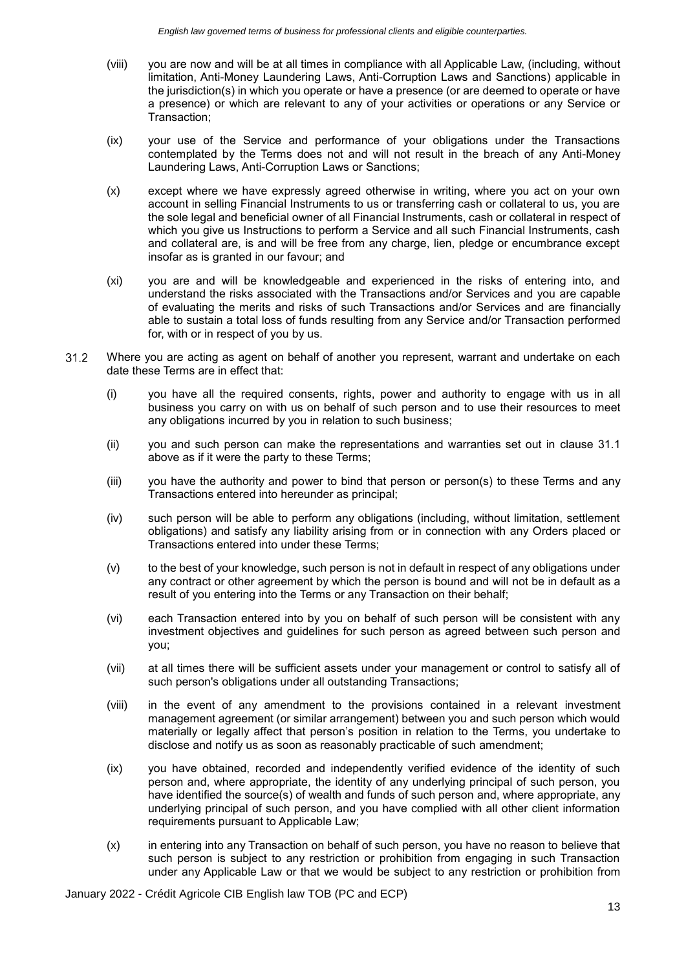- (viii) you are now and will be at all times in compliance with all Applicable Law, (including, without limitation, Anti-Money Laundering Laws, Anti-Corruption Laws and Sanctions) applicable in the jurisdiction(s) in which you operate or have a presence (or are deemed to operate or have a presence) or which are relevant to any of your activities or operations or any Service or Transaction;
- (ix) your use of the Service and performance of your obligations under the Transactions contemplated by the Terms does not and will not result in the breach of any Anti-Money Laundering Laws, Anti-Corruption Laws or Sanctions;
- (x) except where we have expressly agreed otherwise in writing, where you act on your own account in selling Financial Instruments to us or transferring cash or collateral to us, you are the sole legal and beneficial owner of all Financial Instruments, cash or collateral in respect of which you give us Instructions to perform a Service and all such Financial Instruments, cash and collateral are, is and will be free from any charge, lien, pledge or encumbrance except insofar as is granted in our favour; and
- (xi) you are and will be knowledgeable and experienced in the risks of entering into, and understand the risks associated with the Transactions and/or Services and you are capable of evaluating the merits and risks of such Transactions and/or Services and are financially able to sustain a total loss of funds resulting from any Service and/or Transaction performed for, with or in respect of you by us.
- $31.2$ Where you are acting as agent on behalf of another you represent, warrant and undertake on each date these Terms are in effect that:
	- (i) you have all the required consents, rights, power and authority to engage with us in all business you carry on with us on behalf of such person and to use their resources to meet any obligations incurred by you in relation to such business;
	- (ii) you and such person can make the representations and warranties set out in clause 31.1 above as if it were the party to these Terms;
	- (iii) you have the authority and power to bind that person or person(s) to these Terms and any Transactions entered into hereunder as principal;
	- (iv) such person will be able to perform any obligations (including, without limitation, settlement obligations) and satisfy any liability arising from or in connection with any Orders placed or Transactions entered into under these Terms;
	- $(v)$  to the best of your knowledge, such person is not in default in respect of any obligations under any contract or other agreement by which the person is bound and will not be in default as a result of you entering into the Terms or any Transaction on their behalf;
	- (vi) each Transaction entered into by you on behalf of such person will be consistent with any investment objectives and guidelines for such person as agreed between such person and you;
	- (vii) at all times there will be sufficient assets under your management or control to satisfy all of such person's obligations under all outstanding Transactions;
	- (viii) in the event of any amendment to the provisions contained in a relevant investment management agreement (or similar arrangement) between you and such person which would materially or legally affect that person's position in relation to the Terms, you undertake to disclose and notify us as soon as reasonably practicable of such amendment;
	- (ix) you have obtained, recorded and independently verified evidence of the identity of such person and, where appropriate, the identity of any underlying principal of such person, you have identified the source(s) of wealth and funds of such person and, where appropriate, any underlying principal of such person, and you have complied with all other client information requirements pursuant to Applicable Law;
	- (x) in entering into any Transaction on behalf of such person, you have no reason to believe that such person is subject to any restriction or prohibition from engaging in such Transaction under any Applicable Law or that we would be subject to any restriction or prohibition from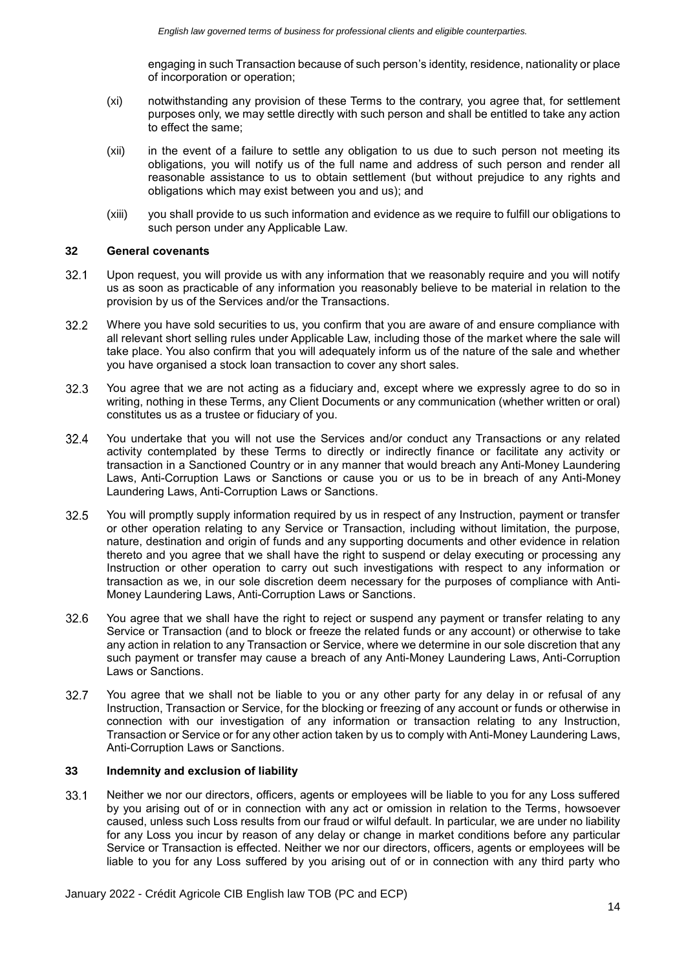engaging in such Transaction because of such person's identity, residence, nationality or place of incorporation or operation;

- (xi) notwithstanding any provision of these Terms to the contrary, you agree that, for settlement purposes only, we may settle directly with such person and shall be entitled to take any action to effect the same;
- (xii) in the event of a failure to settle any obligation to us due to such person not meeting its obligations, you will notify us of the full name and address of such person and render all reasonable assistance to us to obtain settlement (but without prejudice to any rights and obligations which may exist between you and us); and
- (xiii) you shall provide to us such information and evidence as we require to fulfill our obligations to such person under any Applicable Law.

## **32 General covenants**

- $32.1$ Upon request, you will provide us with any information that we reasonably require and you will notify us as soon as practicable of any information you reasonably believe to be material in relation to the provision by us of the Services and/or the Transactions.
- $32.2$ Where you have sold securities to us, you confirm that you are aware of and ensure compliance with all relevant short selling rules under Applicable Law, including those of the market where the sale will take place. You also confirm that you will adequately inform us of the nature of the sale and whether you have organised a stock loan transaction to cover any short sales.
- $32.3$ You agree that we are not acting as a fiduciary and, except where we expressly agree to do so in writing, nothing in these Terms, any Client Documents or any communication (whether written or oral) constitutes us as a trustee or fiduciary of you.
- $32.4$ You undertake that you will not use the Services and/or conduct any Transactions or any related activity contemplated by these Terms to directly or indirectly finance or facilitate any activity or transaction in a Sanctioned Country or in any manner that would breach any Anti-Money Laundering Laws, Anti-Corruption Laws or Sanctions or cause you or us to be in breach of any Anti-Money Laundering Laws, Anti-Corruption Laws or Sanctions.
- $32.5$ You will promptly supply information required by us in respect of any Instruction, payment or transfer or other operation relating to any Service or Transaction, including without limitation, the purpose, nature, destination and origin of funds and any supporting documents and other evidence in relation thereto and you agree that we shall have the right to suspend or delay executing or processing any Instruction or other operation to carry out such investigations with respect to any information or transaction as we, in our sole discretion deem necessary for the purposes of compliance with Anti-Money Laundering Laws, Anti-Corruption Laws or Sanctions.
- $32.6$ You agree that we shall have the right to reject or suspend any payment or transfer relating to any Service or Transaction (and to block or freeze the related funds or any account) or otherwise to take any action in relation to any Transaction or Service, where we determine in our sole discretion that any such payment or transfer may cause a breach of any Anti-Money Laundering Laws, Anti-Corruption Laws or Sanctions.
- 32.7 You agree that we shall not be liable to you or any other party for any delay in or refusal of any Instruction, Transaction or Service, for the blocking or freezing of any account or funds or otherwise in connection with our investigation of any information or transaction relating to any Instruction, Transaction or Service or for any other action taken by us to comply with Anti-Money Laundering Laws, Anti-Corruption Laws or Sanctions.

#### **33 Indemnity and exclusion of liability**

 $33.1$ Neither we nor our directors, officers, agents or employees will be liable to you for any Loss suffered by you arising out of or in connection with any act or omission in relation to the Terms, howsoever caused, unless such Loss results from our fraud or wilful default. In particular, we are under no liability for any Loss you incur by reason of any delay or change in market conditions before any particular Service or Transaction is effected. Neither we nor our directors, officers, agents or employees will be liable to you for any Loss suffered by you arising out of or in connection with any third party who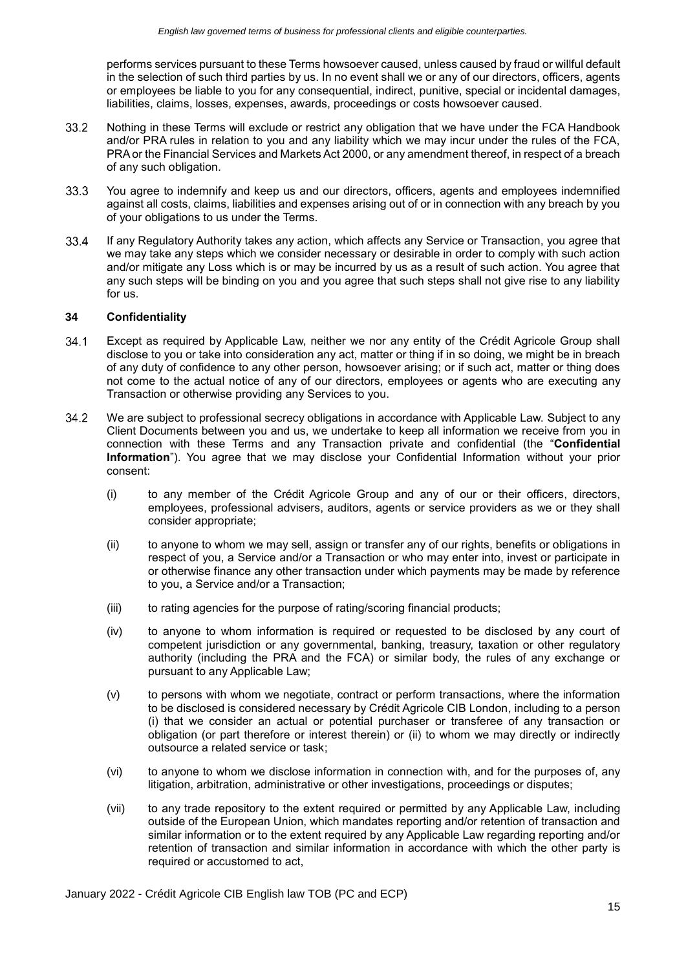performs services pursuant to these Terms howsoever caused, unless caused by fraud or willful default in the selection of such third parties by us. In no event shall we or any of our directors, officers, agents or employees be liable to you for any consequential, indirect, punitive, special or incidental damages, liabilities, claims, losses, expenses, awards, proceedings or costs howsoever caused.

- 33.2 Nothing in these Terms will exclude or restrict any obligation that we have under the FCA Handbook and/or PRA rules in relation to you and any liability which we may incur under the rules of the FCA, PRA or the Financial Services and Markets Act 2000, or any amendment thereof, in respect of a breach of any such obligation.
- 33.3 You agree to indemnify and keep us and our directors, officers, agents and employees indemnified against all costs, claims, liabilities and expenses arising out of or in connection with any breach by you of your obligations to us under the Terms.
- 33.4 If any Regulatory Authority takes any action, which affects any Service or Transaction, you agree that we may take any steps which we consider necessary or desirable in order to comply with such action and/or mitigate any Loss which is or may be incurred by us as a result of such action. You agree that any such steps will be binding on you and you agree that such steps shall not give rise to any liability for us.

## **34 Confidentiality**

- $34.1$ Except as required by Applicable Law, neither we nor any entity of the Crédit Agricole Group shall disclose to you or take into consideration any act, matter or thing if in so doing, we might be in breach of any duty of confidence to any other person, howsoever arising; or if such act, matter or thing does not come to the actual notice of any of our directors, employees or agents who are executing any Transaction or otherwise providing any Services to you.
- 34.2 We are subject to professional secrecy obligations in accordance with Applicable Law. Subject to any Client Documents between you and us, we undertake to keep all information we receive from you in connection with these Terms and any Transaction private and confidential (the "**Confidential Information**"). You agree that we may disclose your Confidential Information without your prior consent:
	- (i) to any member of the Crédit Agricole Group and any of our or their officers, directors, employees, professional advisers, auditors, agents or service providers as we or they shall consider appropriate;
	- (ii) to anyone to whom we may sell, assign or transfer any of our rights, benefits or obligations in respect of you, a Service and/or a Transaction or who may enter into, invest or participate in or otherwise finance any other transaction under which payments may be made by reference to you, a Service and/or a Transaction;
	- (iii) to rating agencies for the purpose of rating/scoring financial products;
	- (iv) to anyone to whom information is required or requested to be disclosed by any court of competent jurisdiction or any governmental, banking, treasury, taxation or other regulatory authority (including the PRA and the FCA) or similar body, the rules of any exchange or pursuant to any Applicable Law;
	- (v) to persons with whom we negotiate, contract or perform transactions, where the information to be disclosed is considered necessary by Crédit Agricole CIB London, including to a person (i) that we consider an actual or potential purchaser or transferee of any transaction or obligation (or part therefore or interest therein) or (ii) to whom we may directly or indirectly outsource a related service or task;
	- (vi) to anyone to whom we disclose information in connection with, and for the purposes of, any litigation, arbitration, administrative or other investigations, proceedings or disputes;
	- (vii) to any trade repository to the extent required or permitted by any Applicable Law, including outside of the European Union, which mandates reporting and/or retention of transaction and similar information or to the extent required by any Applicable Law regarding reporting and/or retention of transaction and similar information in accordance with which the other party is required or accustomed to act,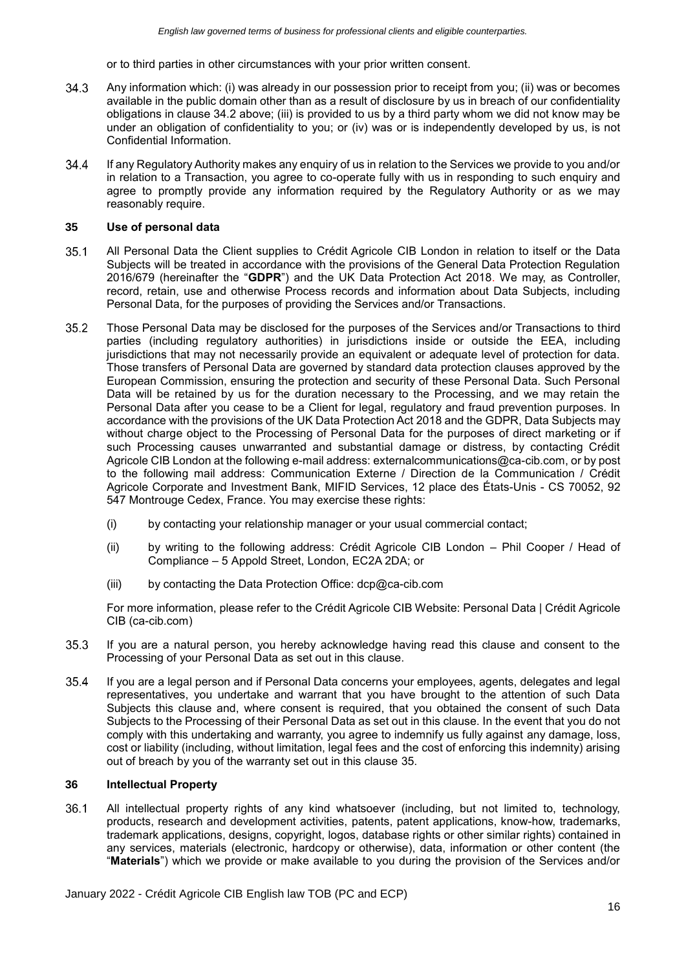or to third parties in other circumstances with your prior written consent.

- 34.3 Any information which: (i) was already in our possession prior to receipt from you; (ii) was or becomes available in the public domain other than as a result of disclosure by us in breach of our confidentiality obligations in clause 34.2 above; (iii) is provided to us by a third party whom we did not know may be under an obligation of confidentiality to you; or (iv) was or is independently developed by us, is not Confidential Information.
- 34.4 If any Regulatory Authority makes any enquiry of us in relation to the Services we provide to you and/or in relation to a Transaction, you agree to co-operate fully with us in responding to such enquiry and agree to promptly provide any information required by the Regulatory Authority or as we may reasonably require.

#### **35 Use of personal data**

- $35.1$ All Personal Data the Client supplies to Crédit Agricole CIB London in relation to itself or the Data Subjects will be treated in accordance with the provisions of the General Data Protection Regulation 2016/679 (hereinafter the "**GDPR**") and the UK Data Protection Act 2018. We may, as Controller, record, retain, use and otherwise Process records and information about Data Subjects, including Personal Data, for the purposes of providing the Services and/or Transactions.
- 35.2 Those Personal Data may be disclosed for the purposes of the Services and/or Transactions to third parties (including regulatory authorities) in jurisdictions inside or outside the EEA, including jurisdictions that may not necessarily provide an equivalent or adequate level of protection for data. Those transfers of Personal Data are governed by standard data protection clauses approved by the European Commission, ensuring the protection and security of these Personal Data. Such Personal Data will be retained by us for the duration necessary to the Processing, and we may retain the Personal Data after you cease to be a Client for legal, regulatory and fraud prevention purposes. In accordance with the provisions of the UK Data Protection Act 2018 and the GDPR, Data Subjects may without charge object to the Processing of Personal Data for the purposes of direct marketing or if such Processing causes unwarranted and substantial damage or distress, by contacting Crédit Agricole CIB London at the following e-mail address: [externalcommunications@ca-cib.com,](mailto:gdpr-gmd@ca-cib.com) or by post to the following mail address: Communication Externe / Direction de la Communication / Crédit Agricole Corporate and Investment Bank, MIFID Services, 12 place des États-Unis - CS 70052, 92 547 Montrouge Cedex, France. You may exercise these rights:
	- (i) by contacting your relationship manager or your usual commercial contact;
	- (ii) by writing to the following address: Crédit Agricole CIB London Phil Cooper / Head of Compliance – 5 Appold Street, London, EC2A 2DA; or
	- (iii) by contacting the Data Protection Office: dcp@ca-cib.com

For more information, please refer to the Crédit Agricole CIB Website: Personal Data | Crédit Agricole CIB (ca-cib.com)

- $35.3$ If you are a natural person, you hereby acknowledge having read this clause and consent to the Processing of your Personal Data as set out in this clause.
- 35.4 If you are a legal person and if Personal Data concerns your employees, agents, delegates and legal representatives, you undertake and warrant that you have brought to the attention of such Data Subjects this clause and, where consent is required, that you obtained the consent of such Data Subjects to the Processing of their Personal Data as set out in this clause. In the event that you do not comply with this undertaking and warranty, you agree to indemnify us fully against any damage, loss, cost or liability (including, without limitation, legal fees and the cost of enforcing this indemnity) arising out of breach by you of the warranty set out in this clause 35.

# **36 Intellectual Property**

36.1 All intellectual property rights of any kind whatsoever (including, but not limited to, technology, products, research and development activities, patents, patent applications, know-how, trademarks, trademark applications, designs, copyright, logos, database rights or other similar rights) contained in any services, materials (electronic, hardcopy or otherwise), data, information or other content (the "**Materials**") which we provide or make available to you during the provision of the Services and/or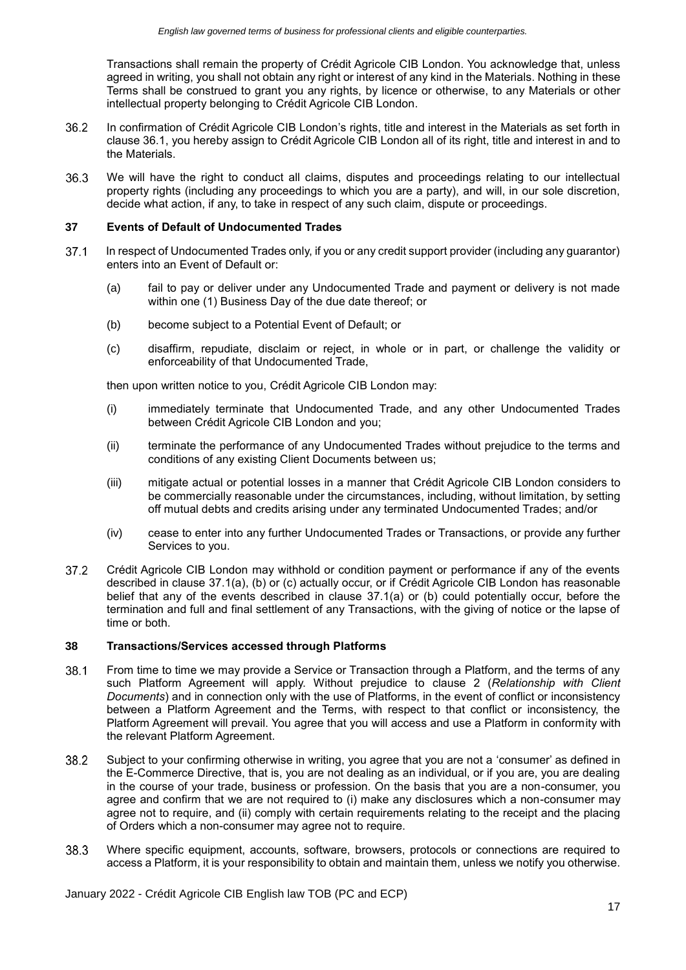Transactions shall remain the property of Crédit Agricole CIB London. You acknowledge that, unless agreed in writing, you shall not obtain any right or interest of any kind in the Materials. Nothing in these Terms shall be construed to grant you any rights, by licence or otherwise, to any Materials or other intellectual property belonging to Crédit Agricole CIB London.

- 36.2 In confirmation of Crédit Agricole CIB London's rights, title and interest in the Materials as set forth in clause 36.1, you hereby assign to Crédit Agricole CIB London all of its right, title and interest in and to the Materials.
- 36.3 We will have the right to conduct all claims, disputes and proceedings relating to our intellectual property rights (including any proceedings to which you are a party), and will, in our sole discretion, decide what action, if any, to take in respect of any such claim, dispute or proceedings.

# **37 Events of Default of Undocumented Trades**

- $37.1$ In respect of Undocumented Trades only, if you or any credit support provider (including any guarantor) enters into an Event of Default or:
	- (a) fail to pay or deliver under any Undocumented Trade and payment or delivery is not made within one (1) Business Day of the due date thereof; or
	- (b) become subject to a Potential Event of Default; or
	- (c) disaffirm, repudiate, disclaim or reject, in whole or in part, or challenge the validity or enforceability of that Undocumented Trade,

then upon written notice to you, Crédit Agricole CIB London may:

- (i) immediately terminate that Undocumented Trade, and any other Undocumented Trades between Crédit Agricole CIB London and you;
- (ii) terminate the performance of any Undocumented Trades without prejudice to the terms and conditions of any existing Client Documents between us;
- (iii) mitigate actual or potential losses in a manner that Crédit Agricole CIB London considers to be commercially reasonable under the circumstances, including, without limitation, by setting off mutual debts and credits arising under any terminated Undocumented Trades; and/or
- (iv) cease to enter into any further Undocumented Trades or Transactions, or provide any further Services to you.
- 37.2 Crédit Agricole CIB London may withhold or condition payment or performance if any of the events described in clause 37.1(a), (b) or (c) actually occur, or if Crédit Agricole CIB London has reasonable belief that any of the events described in clause 37.1(a) or (b) could potentially occur, before the termination and full and final settlement of any Transactions, with the giving of notice or the lapse of time or both.

# **38 Transactions/Services accessed through Platforms**

- 38.1 From time to time we may provide a Service or Transaction through a Platform, and the terms of any such Platform Agreement will apply. Without prejudice to clause 2 (*Relationship with Client Documents*) and in connection only with the use of Platforms, in the event of conflict or inconsistency between a Platform Agreement and the Terms, with respect to that conflict or inconsistency, the Platform Agreement will prevail. You agree that you will access and use a Platform in conformity with the relevant Platform Agreement.
- 38.2 Subject to your confirming otherwise in writing, you agree that you are not a 'consumer' as defined in the E-Commerce Directive, that is, you are not dealing as an individual, or if you are, you are dealing in the course of your trade, business or profession. On the basis that you are a non-consumer, you agree and confirm that we are not required to (i) make any disclosures which a non-consumer may agree not to require, and (ii) comply with certain requirements relating to the receipt and the placing of Orders which a non-consumer may agree not to require.
- 38.3 Where specific equipment, accounts, software, browsers, protocols or connections are required to access a Platform, it is your responsibility to obtain and maintain them, unless we notify you otherwise.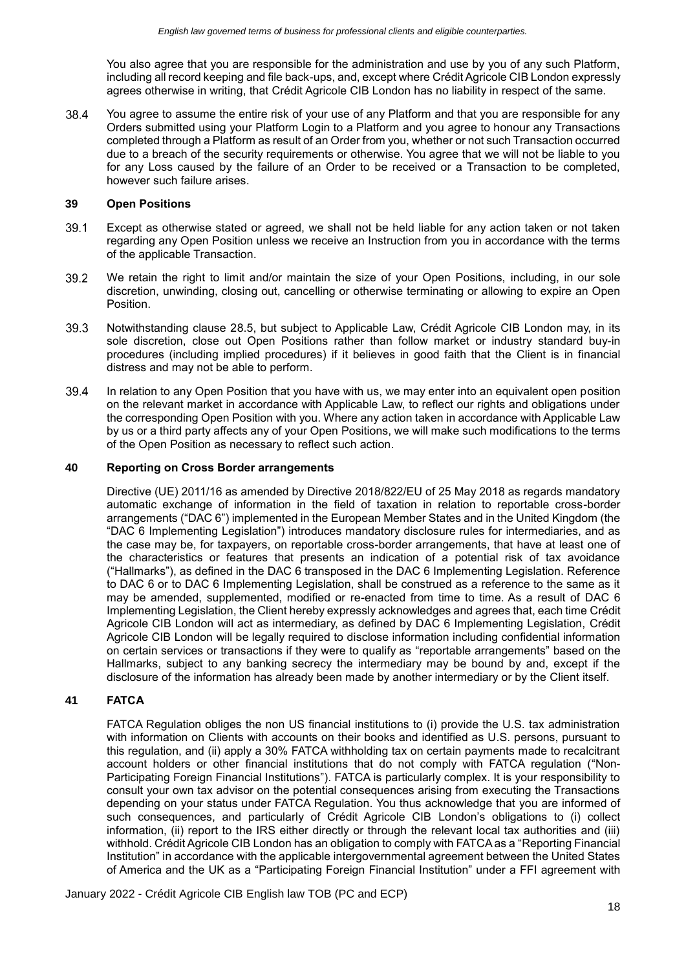You also agree that you are responsible for the administration and use by you of any such Platform, including all record keeping and file back-ups, and, except where Crédit Agricole CIB London expressly agrees otherwise in writing, that Crédit Agricole CIB London has no liability in respect of the same.

38.4 You agree to assume the entire risk of your use of any Platform and that you are responsible for any Orders submitted using your Platform Login to a Platform and you agree to honour any Transactions completed through a Platform as result of an Order from you, whether or not such Transaction occurred due to a breach of the security requirements or otherwise. You agree that we will not be liable to you for any Loss caused by the failure of an Order to be received or a Transaction to be completed, however such failure arises.

## **39 Open Positions**

- 39.1 Except as otherwise stated or agreed, we shall not be held liable for any action taken or not taken regarding any Open Position unless we receive an Instruction from you in accordance with the terms of the applicable Transaction.
- 39.2 We retain the right to limit and/or maintain the size of your Open Positions, including, in our sole discretion, unwinding, closing out, cancelling or otherwise terminating or allowing to expire an Open Position.
- 39.3 Notwithstanding clause 28.5, but subject to Applicable Law, Crédit Agricole CIB London may, in its sole discretion, close out Open Positions rather than follow market or industry standard buy-in procedures (including implied procedures) if it believes in good faith that the Client is in financial distress and may not be able to perform.
- 39.4 In relation to any Open Position that you have with us, we may enter into an equivalent open position on the relevant market in accordance with Applicable Law, to reflect our rights and obligations under the corresponding Open Position with you. Where any action taken in accordance with Applicable Law by us or a third party affects any of your Open Positions, we will make such modifications to the terms of the Open Position as necessary to reflect such action.

## **40 Reporting on Cross Border arrangements**

Directive (UE) 2011/16 as amended by Directive 2018/822/EU of 25 May 2018 as regards mandatory automatic exchange of information in the field of taxation in relation to reportable cross-border arrangements ("DAC 6") implemented in the European Member States and in the United Kingdom (the "DAC 6 Implementing Legislation") introduces mandatory disclosure rules for intermediaries, and as the case may be, for taxpayers, on reportable cross-border arrangements, that have at least one of the characteristics or features that presents an indication of a potential risk of tax avoidance ("Hallmarks"), as defined in the DAC 6 transposed in the DAC 6 Implementing Legislation. Reference to DAC 6 or to DAC 6 Implementing Legislation, shall be construed as a reference to the same as it may be amended, supplemented, modified or re-enacted from time to time. As a result of DAC 6 Implementing Legislation, the Client hereby expressly acknowledges and agrees that, each time Crédit Agricole CIB London will act as intermediary, as defined by DAC 6 Implementing Legislation, Crédit Agricole CIB London will be legally required to disclose information including confidential information on certain services or transactions if they were to qualify as "reportable arrangements" based on the Hallmarks, subject to any banking secrecy the intermediary may be bound by and, except if the disclosure of the information has already been made by another intermediary or by the Client itself.

# **41 FATCA**

FATCA Regulation obliges the non US financial institutions to (i) provide the U.S. tax administration with information on Clients with accounts on their books and identified as U.S. persons, pursuant to this regulation, and (ii) apply a 30% FATCA withholding tax on certain payments made to recalcitrant account holders or other financial institutions that do not comply with FATCA regulation ("Non-Participating Foreign Financial Institutions"). FATCA is particularly complex. It is your responsibility to consult your own tax advisor on the potential consequences arising from executing the Transactions depending on your status under FATCA Regulation. You thus acknowledge that you are informed of such consequences, and particularly of Crédit Agricole CIB London's obligations to (i) collect information, (ii) report to the IRS either directly or through the relevant local tax authorities and (iii) withhold. Crédit Agricole CIB London has an obligation to comply with FATCA as a "Reporting Financial Institution" in accordance with the applicable intergovernmental agreement between the United States of America and the UK as a "Participating Foreign Financial Institution" under a FFI agreement with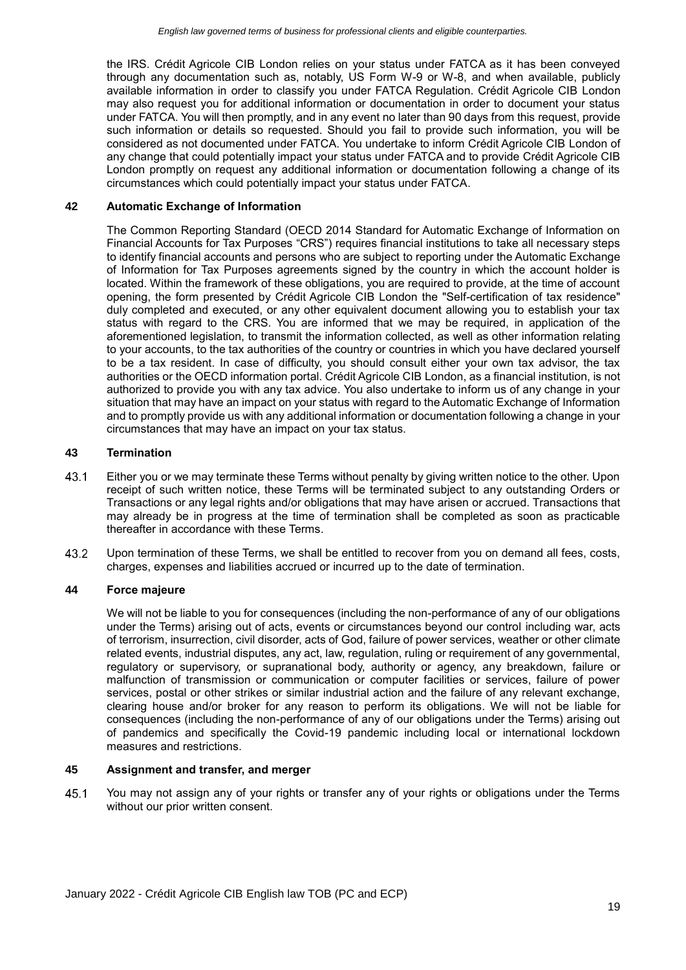the IRS. Crédit Agricole CIB London relies on your status under FATCA as it has been conveyed through any documentation such as, notably, US Form W-9 or W-8, and when available, publicly available information in order to classify you under FATCA Regulation. Crédit Agricole CIB London may also request you for additional information or documentation in order to document your status under FATCA. You will then promptly, and in any event no later than 90 days from this request, provide such information or details so requested. Should you fail to provide such information, you will be considered as not documented under FATCA. You undertake to inform Crédit Agricole CIB London of any change that could potentially impact your status under FATCA and to provide Crédit Agricole CIB London promptly on request any additional information or documentation following a change of its circumstances which could potentially impact your status under FATCA.

## **42 Automatic Exchange of Information**

The Common Reporting Standard (OECD 2014 Standard for Automatic Exchange of Information on Financial Accounts for Tax Purposes "CRS") requires financial institutions to take all necessary steps to identify financial accounts and persons who are subject to reporting under the Automatic Exchange of Information for Tax Purposes agreements signed by the country in which the account holder is located. Within the framework of these obligations, you are required to provide, at the time of account opening, the form presented by Crédit Agricole CIB London the "Self-certification of tax residence" duly completed and executed, or any other equivalent document allowing you to establish your tax status with regard to the CRS. You are informed that we may be required, in application of the aforementioned legislation, to transmit the information collected, as well as other information relating to your accounts, to the tax authorities of the country or countries in which you have declared yourself to be a tax resident. In case of difficulty, you should consult either your own tax advisor, the tax authorities or the OECD information portal. Crédit Agricole CIB London, as a financial institution, is not authorized to provide you with any tax advice. You also undertake to inform us of any change in your situation that may have an impact on your status with regard to the Automatic Exchange of Information and to promptly provide us with any additional information or documentation following a change in your circumstances that may have an impact on your tax status.

## **43 Termination**

- 43.1 Either you or we may terminate these Terms without penalty by giving written notice to the other. Upon receipt of such written notice, these Terms will be terminated subject to any outstanding Orders or Transactions or any legal rights and/or obligations that may have arisen or accrued. Transactions that may already be in progress at the time of termination shall be completed as soon as practicable thereafter in accordance with these Terms.
- 43.2 Upon termination of these Terms, we shall be entitled to recover from you on demand all fees, costs, charges, expenses and liabilities accrued or incurred up to the date of termination.

# **44 Force majeure**

We will not be liable to you for consequences (including the non-performance of any of our obligations under the Terms) arising out of acts, events or circumstances beyond our control including war, acts of terrorism, insurrection, civil disorder, acts of God, failure of power services, weather or other climate related events, industrial disputes, any act, law, regulation, ruling or requirement of any governmental, regulatory or supervisory, or supranational body, authority or agency, any breakdown, failure or malfunction of transmission or communication or computer facilities or services, failure of power services, postal or other strikes or similar industrial action and the failure of any relevant exchange, clearing house and/or broker for any reason to perform its obligations. We will not be liable for consequences (including the non-performance of any of our obligations under the Terms) arising out of pandemics and specifically the Covid-19 pandemic including local or international lockdown measures and restrictions.

#### **45 Assignment and transfer, and merger**

 $45.1$ You may not assign any of your rights or transfer any of your rights or obligations under the Terms without our prior written consent.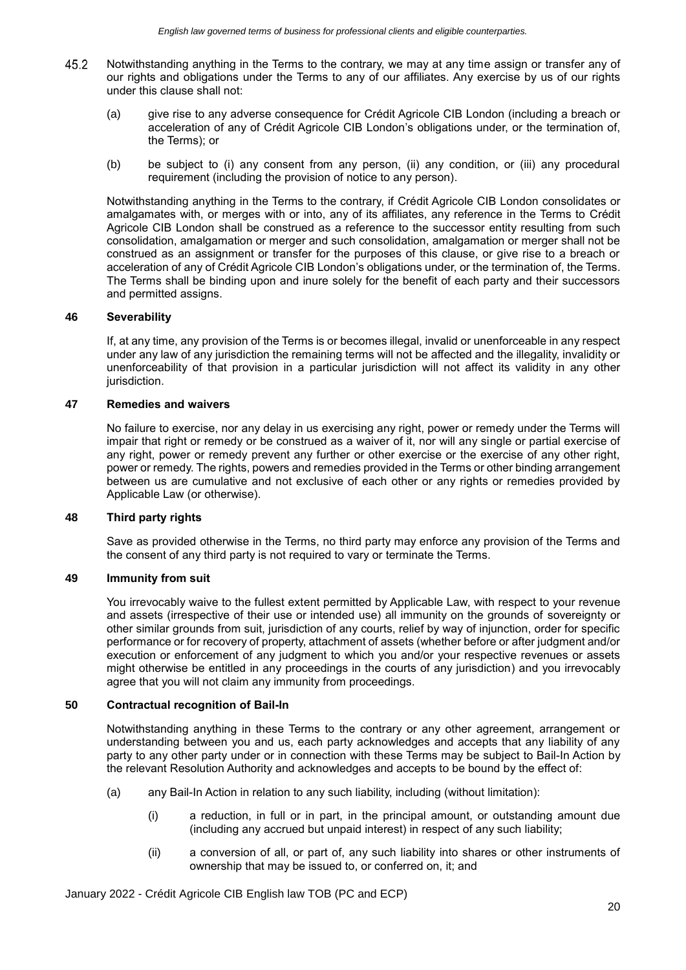- 45.2 Notwithstanding anything in the Terms to the contrary, we may at any time assign or transfer any of our rights and obligations under the Terms to any of our affiliates. Any exercise by us of our rights under this clause shall not:
	- (a) give rise to any adverse consequence for Crédit Agricole CIB London (including a breach or acceleration of any of Crédit Agricole CIB London's obligations under, or the termination of, the Terms); or
	- (b) be subject to (i) any consent from any person, (ii) any condition, or (iii) any procedural requirement (including the provision of notice to any person).

Notwithstanding anything in the Terms to the contrary, if Crédit Agricole CIB London consolidates or amalgamates with, or merges with or into, any of its affiliates, any reference in the Terms to Crédit Agricole CIB London shall be construed as a reference to the successor entity resulting from such consolidation, amalgamation or merger and such consolidation, amalgamation or merger shall not be construed as an assignment or transfer for the purposes of this clause, or give rise to a breach or acceleration of any of Crédit Agricole CIB London's obligations under, or the termination of, the Terms. The Terms shall be binding upon and inure solely for the benefit of each party and their successors and permitted assigns.

#### **46 Severability**

If, at any time, any provision of the Terms is or becomes illegal, invalid or unenforceable in any respect under any law of any jurisdiction the remaining terms will not be affected and the illegality, invalidity or unenforceability of that provision in a particular jurisdiction will not affect its validity in any other jurisdiction.

#### **47 Remedies and waivers**

No failure to exercise, nor any delay in us exercising any right, power or remedy under the Terms will impair that right or remedy or be construed as a waiver of it, nor will any single or partial exercise of any right, power or remedy prevent any further or other exercise or the exercise of any other right, power or remedy. The rights, powers and remedies provided in the Terms or other binding arrangement between us are cumulative and not exclusive of each other or any rights or remedies provided by Applicable Law (or otherwise).

#### **48 Third party rights**

Save as provided otherwise in the Terms, no third party may enforce any provision of the Terms and the consent of any third party is not required to vary or terminate the Terms.

# **49 Immunity from suit**

You irrevocably waive to the fullest extent permitted by Applicable Law, with respect to your revenue and assets (irrespective of their use or intended use) all immunity on the grounds of sovereignty or other similar grounds from suit, jurisdiction of any courts, relief by way of injunction, order for specific performance or for recovery of property, attachment of assets (whether before or after judgment and/or execution or enforcement of any judgment to which you and/or your respective revenues or assets might otherwise be entitled in any proceedings in the courts of any jurisdiction) and you irrevocably agree that you will not claim any immunity from proceedings.

#### **50 Contractual recognition of Bail-In**

Notwithstanding anything in these Terms to the contrary or any other agreement, arrangement or understanding between you and us, each party acknowledges and accepts that any liability of any party to any other party under or in connection with these Terms may be subject to Bail-In Action by the relevant Resolution Authority and acknowledges and accepts to be bound by the effect of:

- (a) any Bail-In Action in relation to any such liability, including (without limitation):
	- (i) a reduction, in full or in part, in the principal amount, or outstanding amount due (including any accrued but unpaid interest) in respect of any such liability;
	- (ii) a conversion of all, or part of, any such liability into shares or other instruments of ownership that may be issued to, or conferred on, it; and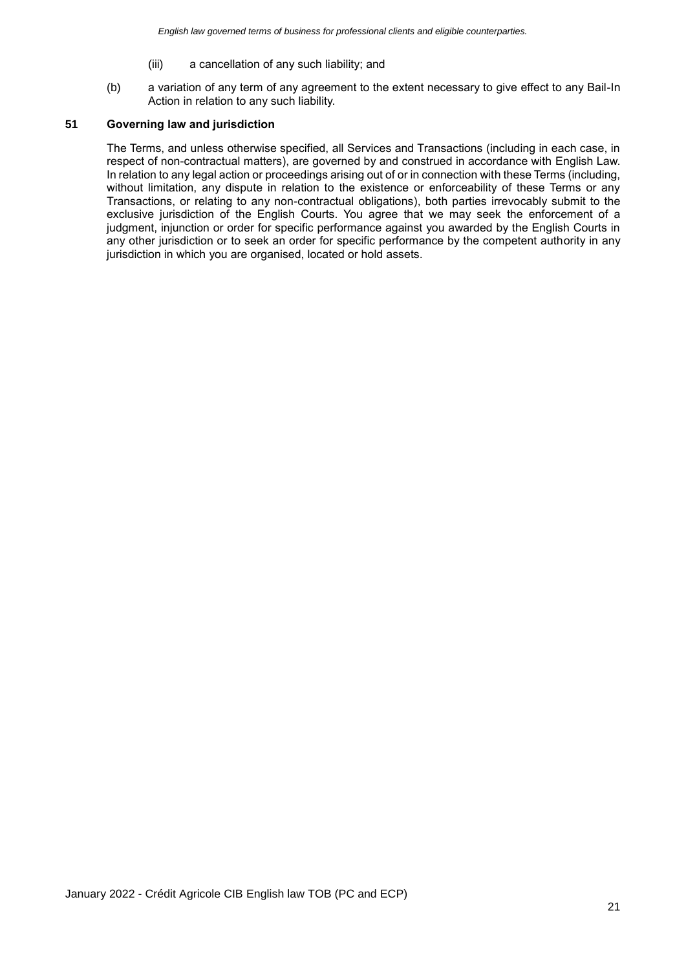- (iii) a cancellation of any such liability; and
- (b) a variation of any term of any agreement to the extent necessary to give effect to any Bail-In Action in relation to any such liability.

# **51 Governing law and jurisdiction**

The Terms, and unless otherwise specified, all Services and Transactions (including in each case, in respect of non-contractual matters), are governed by and construed in accordance with English Law. In relation to any legal action or proceedings arising out of or in connection with these Terms (including, without limitation, any dispute in relation to the existence or enforceability of these Terms or any Transactions, or relating to any non-contractual obligations), both parties irrevocably submit to the exclusive jurisdiction of the English Courts. You agree that we may seek the enforcement of a judgment, injunction or order for specific performance against you awarded by the English Courts in any other jurisdiction or to seek an order for specific performance by the competent authority in any jurisdiction in which you are organised, located or hold assets.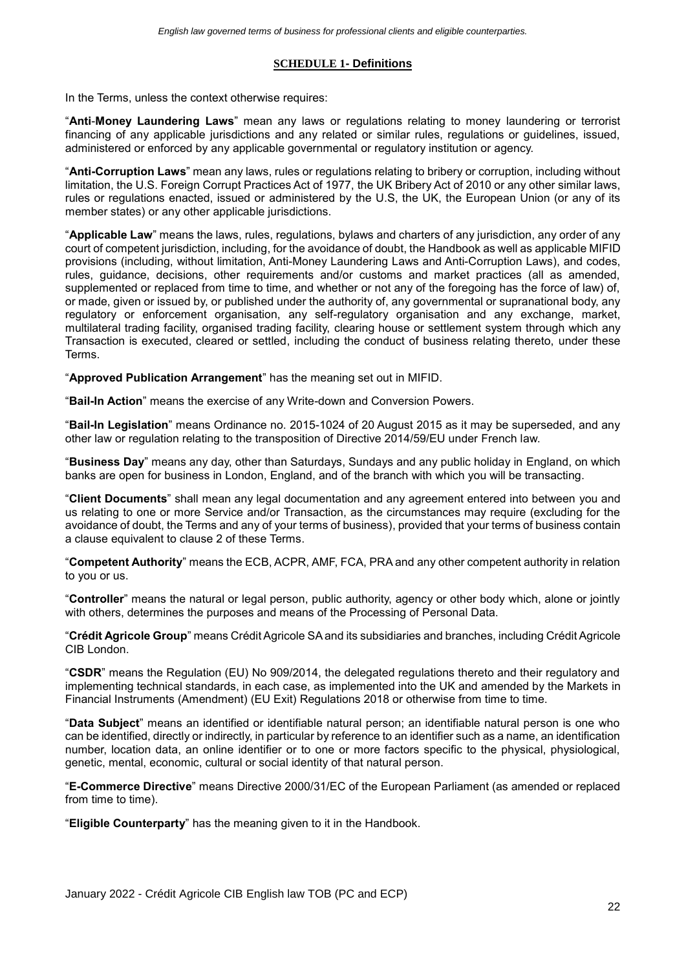## **SCHEDULE 1- Definitions**

In the Terms, unless the context otherwise requires:

"**Anti**-**Money Laundering Laws**" mean any laws or regulations relating to money laundering or terrorist financing of any applicable jurisdictions and any related or similar rules, regulations or guidelines, issued, administered or enforced by any applicable governmental or regulatory institution or agency.

"**Anti-Corruption Laws**" mean any laws, rules or regulations relating to bribery or corruption, including without limitation, the U.S. Foreign Corrupt Practices Act of 1977, the UK Bribery Act of 2010 or any other similar laws, rules or regulations enacted, issued or administered by the U.S, the UK, the European Union (or any of its member states) or any other applicable jurisdictions.

"**Applicable Law**" means the laws, rules, regulations, bylaws and charters of any jurisdiction, any order of any court of competent jurisdiction, including, for the avoidance of doubt, the Handbook as well as applicable MIFID provisions (including, without limitation, Anti-Money Laundering Laws and Anti-Corruption Laws), and codes, rules, guidance, decisions, other requirements and/or customs and market practices (all as amended, supplemented or replaced from time to time, and whether or not any of the foregoing has the force of law) of, or made, given or issued by, or published under the authority of, any governmental or supranational body, any regulatory or enforcement organisation, any self-regulatory organisation and any exchange, market, multilateral trading facility, organised trading facility, clearing house or settlement system through which any Transaction is executed, cleared or settled, including the conduct of business relating thereto, under these Terms.

"**Approved Publication Arrangement**" has the meaning set out in MIFID.

"**Bail-In Action**" means the exercise of any Write-down and Conversion Powers.

"**Bail-In Legislation**" means Ordinance no. 2015-1024 of 20 August 2015 as it may be superseded, and any other law or regulation relating to the transposition of Directive 2014/59/EU under French law.

"**Business Day**" means any day, other than Saturdays, Sundays and any public holiday in England, on which banks are open for business in London, England, and of the branch with which you will be transacting.

"**Client Documents**" shall mean any legal documentation and any agreement entered into between you and us relating to one or more Service and/or Transaction, as the circumstances may require (excluding for the avoidance of doubt, the Terms and any of your terms of business), provided that your terms of business contain a clause equivalent to clause 2 of these Terms.

"**Competent Authority**" means the ECB, ACPR, AMF, FCA, PRA and any other competent authority in relation to you or us.

"**Controller**" means the natural or legal person, public authority, agency or other body which, alone or jointly with others, determines the purposes and means of the Processing of Personal Data.

"**Crédit Agricole Group**" means Crédit Agricole SA and its subsidiaries and branches, including Crédit Agricole CIB London.

"**CSDR**" means the Regulation (EU) No 909/2014, the delegated regulations thereto and their regulatory and implementing technical standards, in each case, as implemented into the UK and amended by the Markets in Financial Instruments (Amendment) (EU Exit) Regulations 2018 or otherwise from time to time.

"**Data Subject**" means an identified or identifiable natural person; an identifiable natural person is one who can be identified, directly or indirectly, in particular by reference to an identifier such as a name, an identification number, location data, an online identifier or to one or more factors specific to the physical, physiological, genetic, mental, economic, cultural or social identity of that natural person.

"**E-Commerce Directive**" means Directive 2000/31/EC of the European Parliament (as amended or replaced from time to time).

"**Eligible Counterparty**" has the meaning given to it in the Handbook.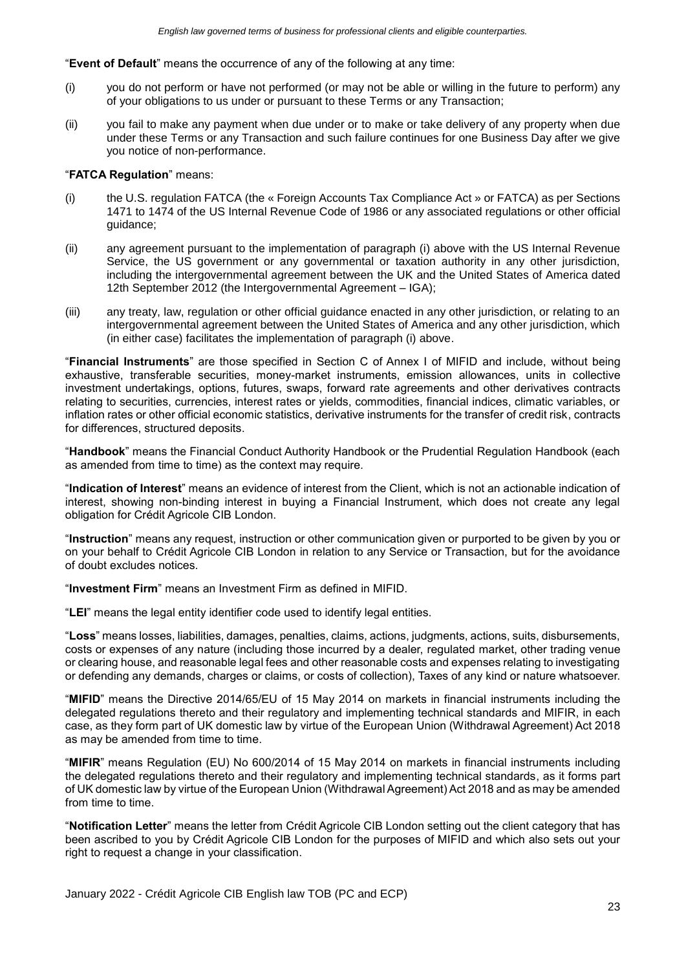"**Event of Default**" means the occurrence of any of the following at any time:

- (i) you do not perform or have not performed (or may not be able or willing in the future to perform) any of your obligations to us under or pursuant to these Terms or any Transaction;
- (ii) you fail to make any payment when due under or to make or take delivery of any property when due under these Terms or any Transaction and such failure continues for one Business Day after we give you notice of non-performance.

## "**FATCA Regulation**" means:

- (i) the U.S. regulation FATCA (the « Foreign Accounts Tax Compliance Act » or FATCA) as per Sections 1471 to 1474 of the US Internal Revenue Code of 1986 or any associated regulations or other official guidance;
- (ii) any agreement pursuant to the implementation of paragraph (i) above with the US Internal Revenue Service, the US government or any governmental or taxation authority in any other jurisdiction, including the intergovernmental agreement between the UK and the United States of America dated 12th September 2012 (the Intergovernmental Agreement – IGA);
- (iii) any treaty, law, regulation or other official guidance enacted in any other jurisdiction, or relating to an intergovernmental agreement between the United States of America and any other jurisdiction, which (in either case) facilitates the implementation of paragraph (i) above.

"**Financial Instruments**" are those specified in Section C of Annex I of MIFID and include, without being exhaustive, transferable securities, money-market instruments, emission allowances, units in collective investment undertakings, options, futures, swaps, forward rate agreements and other derivatives contracts relating to securities, currencies, interest rates or yields, commodities, financial indices, climatic variables, or inflation rates or other official economic statistics, derivative instruments for the transfer of credit risk, contracts for differences, structured deposits.

"**Handbook**" means the Financial Conduct Authority Handbook or the Prudential Regulation Handbook (each as amended from time to time) as the context may require.

"**Indication of Interest**" means an evidence of interest from the Client, which is not an actionable indication of interest, showing non-binding interest in buying a Financial Instrument, which does not create any legal obligation for Crédit Agricole CIB London.

"**Instruction**" means any request, instruction or other communication given or purported to be given by you or on your behalf to Crédit Agricole CIB London in relation to any Service or Transaction, but for the avoidance of doubt excludes notices.

"**Investment Firm**" means an Investment Firm as defined in MIFID.

"**LEI**" means the legal entity identifier code used to identify legal entities.

"**Loss**" means losses, liabilities, damages, penalties, claims, actions, judgments, actions, suits, disbursements, costs or expenses of any nature (including those incurred by a dealer, regulated market, other trading venue or clearing house, and reasonable legal fees and other reasonable costs and expenses relating to investigating or defending any demands, charges or claims, or costs of collection), Taxes of any kind or nature whatsoever.

"**MIFID**" means the Directive 2014/65/EU of 15 May 2014 on markets in financial instruments including the delegated regulations thereto and their regulatory and implementing technical standards and MIFIR, in each case, as they form part of UK domestic law by virtue of the European Union (Withdrawal Agreement) Act 2018 as may be amended from time to time.

"**MIFIR**" means Regulation (EU) No 600/2014 of 15 May 2014 on markets in financial instruments including the delegated regulations thereto and their regulatory and implementing technical standards, as it forms part of UK domestic law by virtue of the European Union (Withdrawal Agreement) Act 2018 and as may be amended from time to time.

"**Notification Letter**" means the letter from Crédit Agricole CIB London setting out the client category that has been ascribed to you by Crédit Agricole CIB London for the purposes of MIFID and which also sets out your right to request a change in your classification.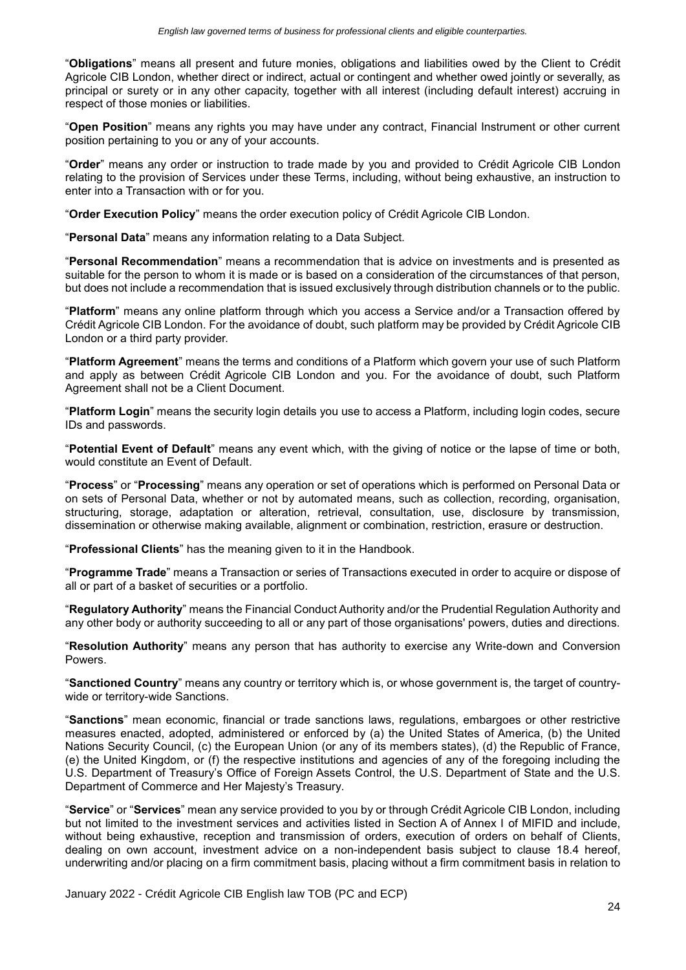"**Obligations**" means all present and future monies, obligations and liabilities owed by the Client to Crédit Agricole CIB London, whether direct or indirect, actual or contingent and whether owed jointly or severally, as principal or surety or in any other capacity, together with all interest (including default interest) accruing in respect of those monies or liabilities.

"**Open Position**" means any rights you may have under any contract, Financial Instrument or other current position pertaining to you or any of your accounts.

"**Order**" means any order or instruction to trade made by you and provided to Crédit Agricole CIB London relating to the provision of Services under these Terms, including, without being exhaustive, an instruction to enter into a Transaction with or for you.

"**Order Execution Policy**" means the order execution policy of Crédit Agricole CIB London.

"**Personal Data**" means any information relating to a Data Subject.

"**Personal Recommendation**" means a recommendation that is advice on investments and is presented as suitable for the person to whom it is made or is based on a consideration of the circumstances of that person, but does not include a recommendation that is issued exclusively through distribution channels or to the public.

"**Platform**" means any online platform through which you access a Service and/or a Transaction offered by Crédit Agricole CIB London. For the avoidance of doubt, such platform may be provided by Crédit Agricole CIB London or a third party provider.

"**Platform Agreement**" means the terms and conditions of a Platform which govern your use of such Platform and apply as between Crédit Agricole CIB London and you. For the avoidance of doubt, such Platform Agreement shall not be a Client Document.

"**Platform Login**" means the security login details you use to access a Platform, including login codes, secure IDs and passwords.

"**Potential Event of Default**" means any event which, with the giving of notice or the lapse of time or both, would constitute an Event of Default.

"**Process**" or "**Processing**" means any operation or set of operations which is performed on Personal Data or on sets of Personal Data, whether or not by automated means, such as collection, recording, organisation, structuring, storage, adaptation or alteration, retrieval, consultation, use, disclosure by transmission, dissemination or otherwise making available, alignment or combination, restriction, erasure or destruction.

"**Professional Clients**" has the meaning given to it in the Handbook.

"**Programme Trade**" means a Transaction or series of Transactions executed in order to acquire or dispose of all or part of a basket of securities or a portfolio.

"**Regulatory Authority**" means the Financial Conduct Authority and/or the Prudential Regulation Authority and any other body or authority succeeding to all or any part of those organisations' powers, duties and directions.

"**Resolution Authority**" means any person that has authority to exercise any Write-down and Conversion Powers.

"**Sanctioned Country**" means any country or territory which is, or whose government is, the target of countrywide or territory-wide Sanctions.

"**Sanctions**" mean economic, financial or trade sanctions laws, regulations, embargoes or other restrictive measures enacted, adopted, administered or enforced by (a) the United States of America, (b) the United Nations Security Council, (c) the European Union (or any of its members states), (d) the Republic of France, (e) the United Kingdom, or (f) the respective institutions and agencies of any of the foregoing including the U.S. Department of Treasury's Office of Foreign Assets Control, the U.S. Department of State and the U.S. Department of Commerce and Her Majesty's Treasury.

"**Service**" or "**Services**" mean any service provided to you by or through Crédit Agricole CIB London, including but not limited to the investment services and activities listed in Section A of Annex I of MIFID and include, without being exhaustive, reception and transmission of orders, execution of orders on behalf of Clients, dealing on own account, investment advice on a non-independent basis subject to clause 18.4 hereof, underwriting and/or placing on a firm commitment basis, placing without a firm commitment basis in relation to